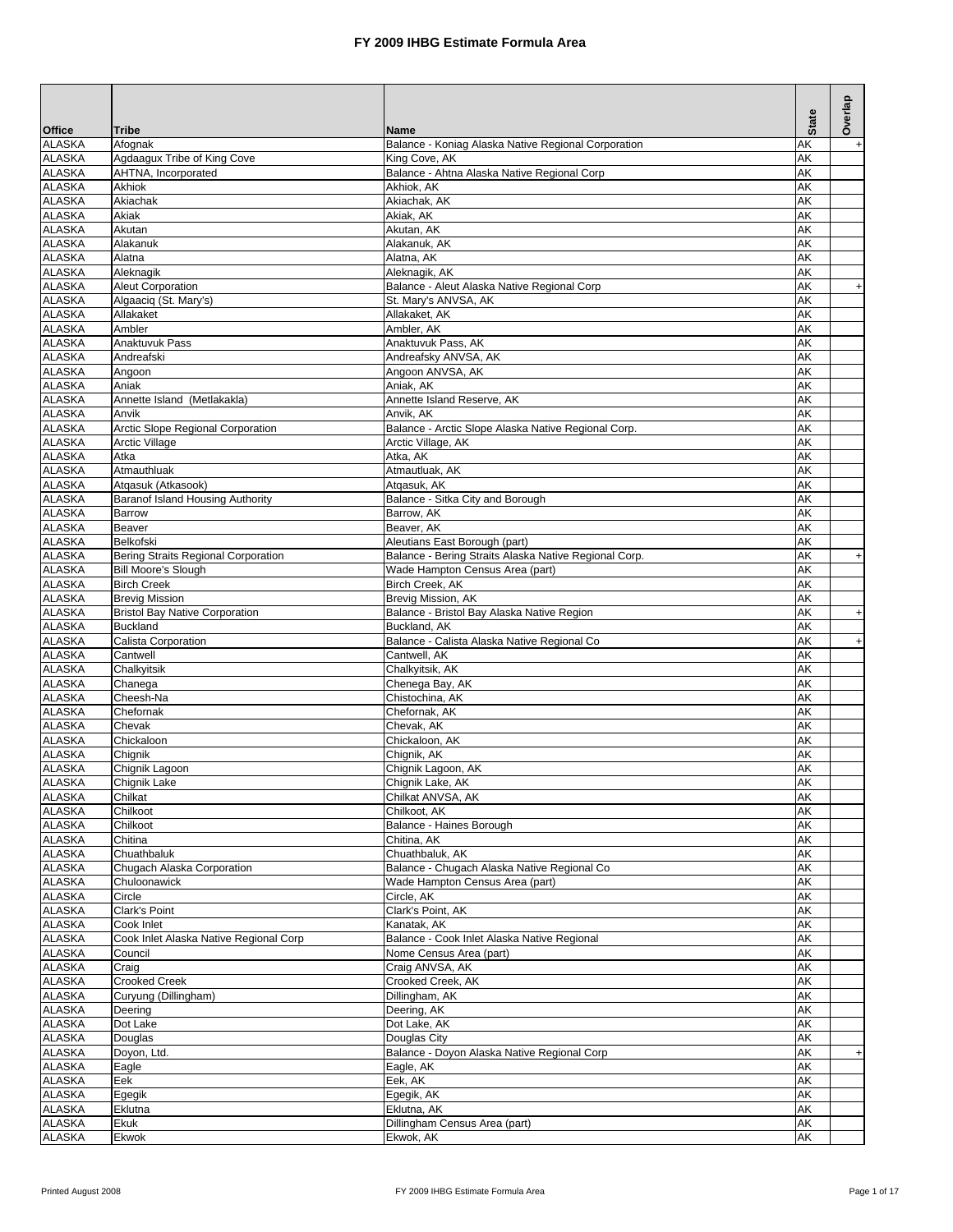| <b>Office</b>                  | <b>Tribe</b>                           | <b>Name</b>                                           | <b>State</b> | Overlap                          |
|--------------------------------|----------------------------------------|-------------------------------------------------------|--------------|----------------------------------|
| <b>ALASKA</b>                  | Afognak                                | Balance - Koniag Alaska Native Regional Corporation   | AΚ           | $\begin{array}{c} + \end{array}$ |
| <b>ALASKA</b>                  | Agdaagux Tribe of King Cove            | King Cove, AK                                         | AK           |                                  |
| <b>ALASKA</b>                  | AHTNA, Incorporated                    | Balance - Ahtna Alaska Native Regional Corp           | AΚ           |                                  |
| <b>ALASKA</b>                  | Akhiok                                 | Akhiok, AK                                            | AΚ           |                                  |
| <b>ALASKA</b><br><b>ALASKA</b> | Akiachak<br>Akiak                      | Akiachak, AK                                          | AK<br>AΚ     |                                  |
| <b>ALASKA</b>                  | Akutan                                 | Akiak, AK<br>Akutan, AK                               | AK           |                                  |
| <b>ALASKA</b>                  | Alakanuk                               | Alakanuk, AK                                          | AK           |                                  |
| <b>ALASKA</b>                  | Alatna                                 | Alatna, AK                                            | AK           |                                  |
| <b>ALASKA</b>                  | Aleknagik                              | Aleknagik, AK                                         | AK           |                                  |
| <b>ALASKA</b>                  | Aleut Corporation                      | Balance - Aleut Alaska Native Regional Corp           | AK           | $\ddot{}$                        |
| <b>ALASKA</b>                  | Algaaciq (St. Mary's)                  | St. Mary's ANVSA, AK                                  | AK           |                                  |
| <b>ALASKA</b>                  | Allakaket                              | Allakaket, AK                                         | AK           |                                  |
| <b>ALASKA</b>                  | Ambler                                 | Ambler, AK                                            | AK           |                                  |
| <b>ALASKA</b>                  | Anaktuvuk Pass                         | Anaktuvuk Pass, AK                                    | AK           |                                  |
| <b>ALASKA</b>                  | Andreafski                             | Andreafsky ANVSA, AK                                  | AK           |                                  |
| <b>ALASKA</b><br><b>ALASKA</b> | Angoon<br>Aniak                        | Angoon ANVSA, AK<br>Aniak, AK                         | AK<br>AK     |                                  |
| <b>ALASKA</b>                  | Annette Island (Metlakakla)            | Annette Island Reserve, AK                            | AK           |                                  |
| <b>ALASKA</b>                  | Anvik                                  | Anvik, AK                                             | AK           |                                  |
| <b>ALASKA</b>                  | Arctic Slope Regional Corporation      | Balance - Arctic Slope Alaska Native Regional Corp.   | AK           |                                  |
| <b>ALASKA</b>                  | <b>Arctic Village</b>                  | Arctic Village, AK                                    | AK           |                                  |
| <b>ALASKA</b>                  | Atka                                   | Atka, AK                                              | AΚ           |                                  |
| <b>ALASKA</b>                  | Atmauthluak                            | Atmautluak, AK                                        | AK           |                                  |
| <b>ALASKA</b>                  | Atqasuk (Atkasook)                     | Atgasuk, AK                                           | AΚ           |                                  |
| <b>ALASKA</b>                  | Baranof Island Housing Authority       | Balance - Sitka City and Borough                      | AK           |                                  |
| <b>ALASKA</b>                  | <b>Barrow</b>                          | Barrow. AK                                            | AΚ           |                                  |
| <b>ALASKA</b><br><b>ALASKA</b> | <b>Beaver</b><br>Belkofski             | Beaver, AK<br>Aleutians East Borough (part)           | AK<br>AΚ     |                                  |
| <b>ALASKA</b>                  | Bering Straits Regional Corporation    | Balance - Bering Straits Alaska Native Regional Corp. | AK           | $\begin{array}{c} + \end{array}$ |
| <b>ALASKA</b>                  | <b>Bill Moore's Slough</b>             | Wade Hampton Census Area (part)                       | AΚ           |                                  |
| <b>ALASKA</b>                  | <b>Birch Creek</b>                     | Birch Creek, AK                                       | AK           |                                  |
| <b>ALASKA</b>                  | <b>Brevig Mission</b>                  | Brevig Mission, AK                                    | AK           |                                  |
| <b>ALASKA</b>                  | <b>Bristol Bay Native Corporation</b>  | Balance - Bristol Bay Alaska Native Region            | AK           | $\ddot{}$                        |
| <b>ALASKA</b>                  | <b>Buckland</b>                        | Buckland, AK                                          | AK           |                                  |
| <b>ALASKA</b>                  | Calista Corporation                    | Balance - Calista Alaska Native Regional Co           | AΚ           | $\ddot{}$                        |
| <b>ALASKA</b>                  | Cantwell                               | Cantwell, AK                                          | AK           |                                  |
| <b>ALASKA</b>                  | Chalkyitsik                            | Chalkyitsik, AK                                       | AK           |                                  |
| <b>ALASKA</b><br><b>ALASKA</b> | Chanega<br>Cheesh-Na                   | Chenega Bay, AK<br>Chistochina, AK                    | AK<br>AK     |                                  |
| <b>ALASKA</b>                  | Chefornak                              | Chefornak, AK                                         | AK           |                                  |
| <b>ALASKA</b>                  | Chevak                                 | Chevak, AK                                            | AK           |                                  |
| <b>ALASKA</b>                  | Chickaloon                             | Chickaloon, AK                                        | AK           |                                  |
| <b>ALASKA</b>                  | Chignik                                | Chignik, AK                                           | AΚ           |                                  |
| <b>ALASKA</b>                  | Chignik Lagoon                         | Chignik Lagoon, AK                                    | AΚ           |                                  |
| <b>ALASKA</b>                  | Chignik Lake                           | Chignik Lake, AK                                      | AK           |                                  |
| <b>ALASKA</b>                  | Chilkat                                | Chilkat ANVSA, AK                                     | AΚ           |                                  |
| <b>ALASKA</b>                  | Chilkoot                               | Chilkoot, AK                                          | AK           |                                  |
| <b>ALASKA</b>                  | Chilkoot                               | Balance - Haines Borough                              | АK           |                                  |
| <b>ALASKA</b><br><b>ALASKA</b> | Chitina<br>Chuathbaluk                 | Chitina, AK<br>Chuathbaluk, AK                        | АK<br>АK     |                                  |
| <b>ALASKA</b>                  | Chugach Alaska Corporation             | Balance - Chugach Alaska Native Regional Co           | AΚ           |                                  |
| <b>ALASKA</b>                  | Chuloonawick                           | Wade Hampton Census Area (part)                       | AK           |                                  |
| <b>ALASKA</b>                  | Circle                                 | Circle, AK                                            | AΚ           |                                  |
| <b>ALASKA</b>                  | Clark's Point                          | Clark's Point, AK                                     | AΚ           |                                  |
| <b>ALASKA</b>                  | Cook Inlet                             | Kanatak, AK                                           | АK           |                                  |
| <b>ALASKA</b>                  | Cook Inlet Alaska Native Regional Corp | Balance - Cook Inlet Alaska Native Regional           | AΚ           |                                  |
| <b>ALASKA</b>                  | Council                                | Nome Census Area (part)                               | AΚ           |                                  |
| <b>ALASKA</b>                  | Craig                                  | Craig ANVSA, AK                                       | AΚ           |                                  |
| <b>ALASKA</b>                  | <b>Crooked Creek</b>                   | Crooked Creek, AK                                     | AΚ           |                                  |
| <b>ALASKA</b>                  | Curyung (Dillingham)                   | Dillingham, AK                                        | AΚ           |                                  |
| <b>ALASKA</b><br><b>ALASKA</b> | Deering<br>Dot Lake                    | Deering, AK<br>Dot Lake, AK                           | AΚ<br>AΚ     |                                  |
| <b>ALASKA</b>                  | Douglas                                | Douglas City                                          | AK           |                                  |
| <b>ALASKA</b>                  | Doyon, Ltd.                            | Balance - Doyon Alaska Native Regional Corp           | AΚ           | $+$                              |
| <b>ALASKA</b>                  | Eagle                                  | Eagle, AK                                             | AK           |                                  |
| <b>ALASKA</b>                  | Eek                                    | Eek, AK                                               | АK           |                                  |
| <b>ALASKA</b>                  | Egegik                                 | Egegik, AK                                            | AΚ           |                                  |
| <b>ALASKA</b>                  | Eklutna                                | Eklutna, AK                                           | АK           |                                  |
| <b>ALASKA</b>                  | Ekuk                                   | Dillingham Census Area (part)                         | АK           |                                  |
| <b>ALASKA</b>                  | Ekwok                                  | Ekwok, AK                                             | AΚ           |                                  |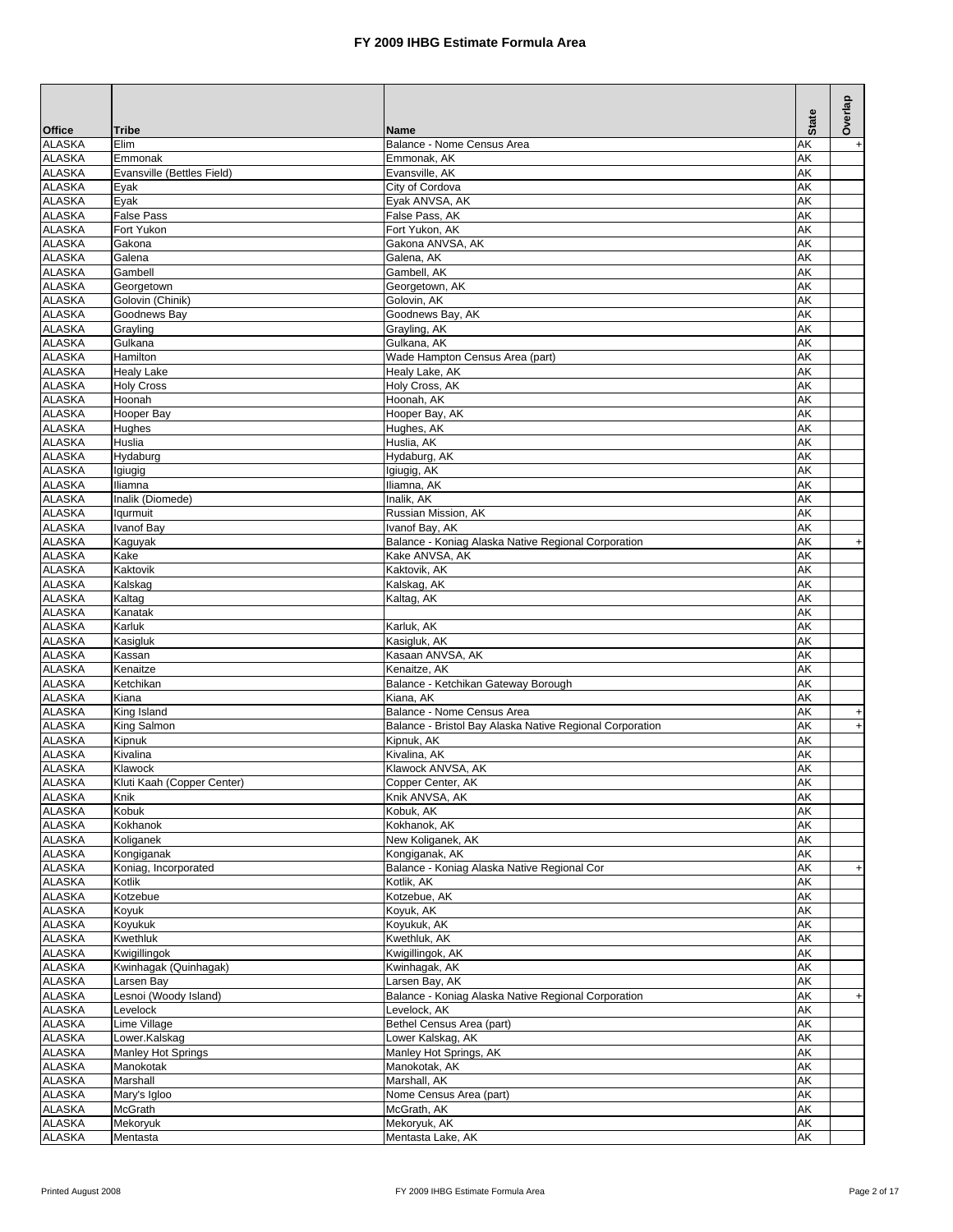|                                |                                            |                                                          | <b>State</b> | Overlap                          |
|--------------------------------|--------------------------------------------|----------------------------------------------------------|--------------|----------------------------------|
| <b>Office</b><br><b>ALASKA</b> | <b>Tribe</b><br>Elim                       | <b>Name</b><br>Balance - Nome Census Area                | AΚ           |                                  |
| <b>ALASKA</b>                  | Emmonak                                    | Emmonak, AK                                              | AK           | $+$                              |
| <b>ALASKA</b>                  | Evansville (Bettles Field)                 | Evansville, AK                                           | AK           |                                  |
| <b>ALASKA</b>                  | Eyak                                       | City of Cordova                                          | AK           |                                  |
| <b>ALASKA</b>                  | Eyak                                       | Eyak ANVSA, AK                                           | AK           |                                  |
| <b>ALASKA</b>                  | <b>False Pass</b>                          | False Pass, AK                                           | AK           |                                  |
| <b>ALASKA</b><br><b>ALASKA</b> | Fort Yukon<br>Gakona                       | Fort Yukon, AK<br>Gakona ANVSA, AK                       | AK<br>AK     |                                  |
| <b>ALASKA</b>                  | Galena                                     | Galena, AK                                               | AK           |                                  |
| <b>ALASKA</b>                  | Gambell                                    | Gambell, AK                                              | AΚ           |                                  |
| <b>ALASKA</b>                  | Georgetown                                 | Georgetown, AK                                           | AK           |                                  |
| <b>ALASKA</b>                  | Golovin (Chinik)                           | Golovin, AK                                              | AΚ           |                                  |
| <b>ALASKA</b>                  | Goodnews Bay                               | Goodnews Bay, AK                                         | AK           |                                  |
| <b>ALASKA</b><br><b>ALASKA</b> | Grayling<br>Gulkana                        | Grayling, AK<br>Gulkana, AK                              | AK<br>AK     |                                  |
| <b>ALASKA</b>                  | Hamilton                                   | Wade Hampton Census Area (part)                          | AK           |                                  |
| <b>ALASKA</b>                  | <b>Healy Lake</b>                          | Healy Lake, AK                                           | AK           |                                  |
| <b>ALASKA</b>                  | <b>Holy Cross</b>                          | Holy Cross, AK                                           | AK           |                                  |
| <b>ALASKA</b>                  | Hoonah                                     | Hoonah, AK                                               | AK           |                                  |
| <b>ALASKA</b>                  | Hooper Bay                                 | Hooper Bay, AK                                           | AK           |                                  |
| <b>ALASKA</b>                  | Hughes                                     | Hughes, AK                                               | AΚ           |                                  |
| <b>ALASKA</b><br><b>ALASKA</b> | Huslia<br>Hydaburg                         | Huslia, AK                                               | AK<br>AK     |                                  |
| <b>ALASKA</b>                  | Igiugig                                    | Hydaburg, AK<br>Igiugig, AK                              | AK           |                                  |
| <b>ALASKA</b>                  | Iliamna                                    | Iliamna, AK                                              | AK           |                                  |
| <b>ALASKA</b>                  | Inalik (Diomede)                           | Inalik, AK                                               | AK           |                                  |
| <b>ALASKA</b>                  | Iqurmuit                                   | Russian Mission, AK                                      | AK           |                                  |
| <b>ALASKA</b>                  | <b>Ivanof Bay</b>                          | Ivanof Bay, AK                                           | AK           |                                  |
| <b>ALASKA</b>                  | Kaguyak                                    | Balance - Koniag Alaska Native Regional Corporation      | AΚ           | $\begin{array}{c} + \end{array}$ |
| <b>ALASKA</b>                  | Kake                                       | Kake ANVSA, AK                                           | AK           |                                  |
| <b>ALASKA</b><br><b>ALASKA</b> | Kaktovik<br>Kalskag                        | Kaktovik, AK<br>Kalskag, AK                              | AK<br>AK     |                                  |
| <b>ALASKA</b>                  | Kaltag                                     | Kaltag, AK                                               | AΚ           |                                  |
| <b>ALASKA</b>                  | Kanatak                                    |                                                          | AK           |                                  |
| <b>ALASKA</b>                  | Karluk                                     | Karluk, AK                                               | AΚ           |                                  |
| <b>ALASKA</b>                  | Kasigluk                                   | Kasigluk, AK                                             | AK           |                                  |
| <b>ALASKA</b>                  | Kassan                                     | Kasaan ANVSA, AK                                         | AΚ           |                                  |
| <b>ALASKA</b>                  | Kenaitze                                   | Kenaitze, AK                                             | AK           |                                  |
| <b>ALASKA</b><br><b>ALASKA</b> | Ketchikan<br>Kiana                         | Balance - Ketchikan Gateway Borough<br>Kiana, AK         | AΚ<br>AK     |                                  |
| <b>ALASKA</b>                  | King Island                                | Balance - Nome Census Area                               | AK           | $\ddot{}$                        |
| <b>ALASKA</b>                  | <b>King Salmon</b>                         | Balance - Bristol Bay Alaska Native Regional Corporation | AK           | $\ddot{}$                        |
| <b>ALASKA</b>                  | Kipnuk                                     | Kipnuk, AK                                               | AK           |                                  |
| <b>ALASKA</b>                  | Kivalina                                   | Kivalina, AK                                             | AK           |                                  |
| <b>ALASKA</b>                  | Klawock                                    | Klawock ANVSA, AK                                        | AK           |                                  |
| <b>ALASKA</b>                  | Kluti Kaah (Copper Center)                 | Copper Center, AK                                        | AK           |                                  |
| <b>ALASKA</b><br><b>ALASKA</b> | Knik<br>Kobuk                              | Knik ANVSA, AK<br>Kobuk, AK                              | AΚ<br>AΚ     |                                  |
| <b>ALASKA</b>                  | Kokhanok                                   | Kokhanok, AK                                             | АK           |                                  |
| <b>ALASKA</b>                  | Koliganek                                  | New Koliganek, AK                                        | AΚ           |                                  |
| <b>ALASKA</b>                  | Kongiganak                                 | Kongiganak, AK                                           | АK           |                                  |
| <b>ALASKA</b>                  | Koniag, Incorporated                       | Balance - Koniag Alaska Native Regional Cor              | AΚ           | $+$                              |
| <b>ALASKA</b>                  | Kotlik                                     | Kotlik, AK                                               | АK           |                                  |
| <b>ALASKA</b><br><b>ALASKA</b> | Kotzebue                                   | Kotzebue, AK<br>Koyuk, AK                                | АK           |                                  |
| <b>ALASKA</b>                  | Koyuk<br>Koyukuk                           | Koyukuk, AK                                              | AΚ<br>АK     |                                  |
| <b>ALASKA</b>                  | Kwethluk                                   | Kwethluk, AK                                             | АK           |                                  |
| <b>ALASKA</b>                  | Kwigillingok                               | Kwigillingok, AK                                         | AΚ           |                                  |
| <b>ALASKA</b>                  | Kwinhagak (Quinhagak)                      | Kwinhagak, AK                                            | АK           |                                  |
| <b>ALASKA</b>                  | Larsen Bay                                 | Larsen Bay, AK                                           | AΚ           |                                  |
| <b>ALASKA</b>                  | Lesnoi (Woody Island)                      | Balance - Koniag Alaska Native Regional Corporation      | AΚ           | $\boldsymbol{+}$                 |
| <b>ALASKA</b>                  | Levelock                                   | Levelock, AK                                             | АK           |                                  |
| <b>ALASKA</b>                  | Lime Village                               | Bethel Census Area (part)<br>Lower Kalskag, AK           | AΚ           |                                  |
| <b>ALASKA</b><br><b>ALASKA</b> | Lower.Kalskag<br><b>Manley Hot Springs</b> | Manley Hot Springs, AK                                   | АK<br>АK     |                                  |
| <b>ALASKA</b>                  | Manokotak                                  | Manokotak, AK                                            | АK           |                                  |
| <b>ALASKA</b>                  | Marshall                                   | Marshall, AK                                             | AΚ           |                                  |
| <b>ALASKA</b>                  | Mary's Igloo                               | Nome Census Area (part)                                  | АK           |                                  |
| <b>ALASKA</b>                  | McGrath                                    | McGrath, AK                                              | AΚ           |                                  |
| <b>ALASKA</b>                  | Mekoryuk                                   | Mekoryuk, AK                                             | АK           |                                  |
| <b>ALASKA</b>                  | Mentasta                                   | Mentasta Lake, AK                                        | AΚ           |                                  |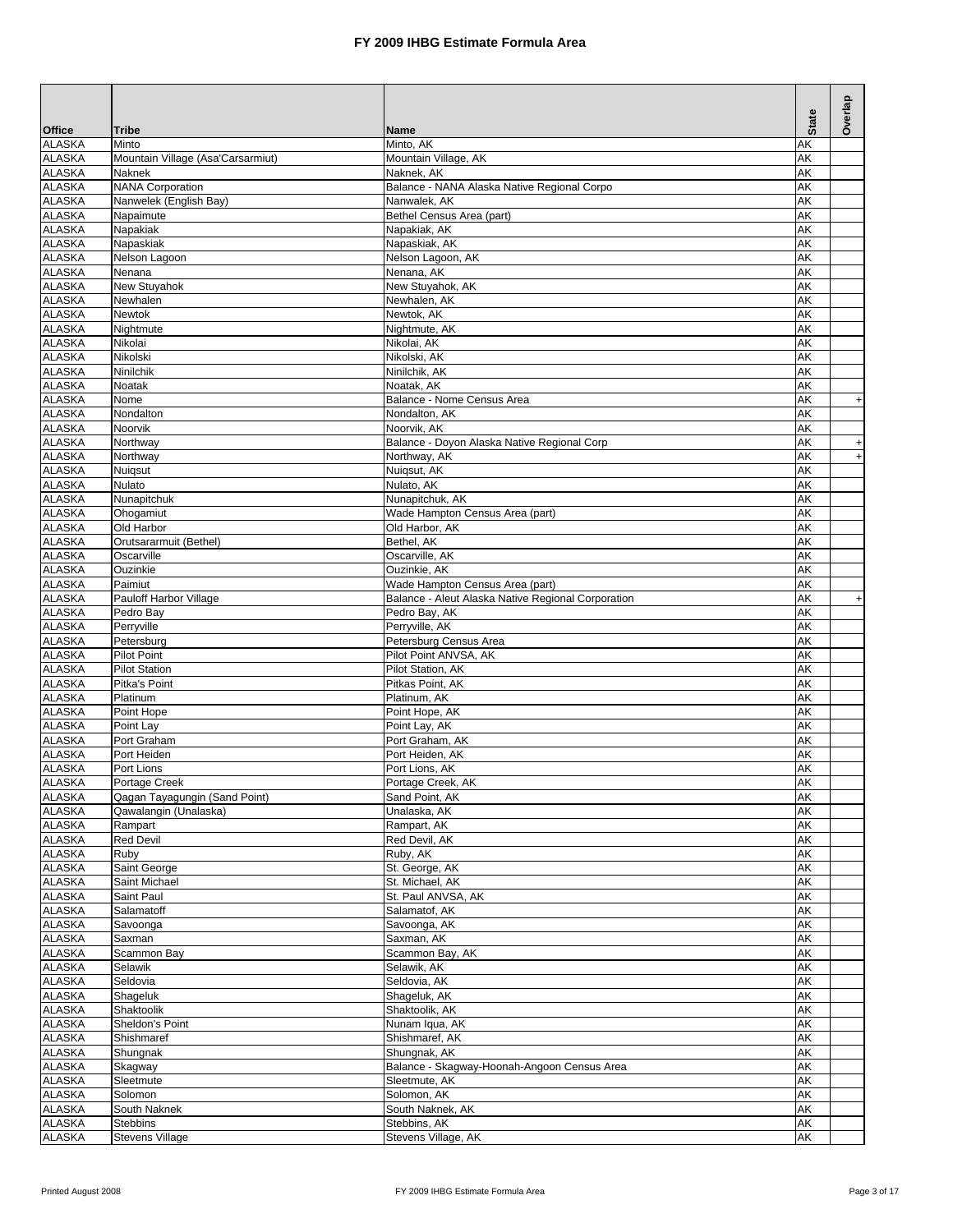|                                |                                                   |                                                                                       |              | Overlap                          |
|--------------------------------|---------------------------------------------------|---------------------------------------------------------------------------------------|--------------|----------------------------------|
| <b>Office</b>                  | <b>Tribe</b>                                      | <b>Name</b>                                                                           | <b>State</b> |                                  |
| <b>ALASKA</b>                  | Minto                                             | Minto, AK                                                                             | AK           |                                  |
| <b>ALASKA</b>                  | Mountain Village (Asa'Carsarmiut)                 | Mountain Village, AK                                                                  | AΚ           |                                  |
| <b>ALASKA</b>                  | Naknek                                            | Naknek, AK                                                                            | AK           |                                  |
| <b>ALASKA</b><br><b>ALASKA</b> | <b>NANA Corporation</b><br>Nanwelek (English Bay) | Balance - NANA Alaska Native Regional Corpo<br>Nanwalek, AK                           | AΚ<br>AK     |                                  |
| <b>ALASKA</b>                  | Napaimute                                         | Bethel Census Area (part)                                                             | AΚ           |                                  |
| <b>ALASKA</b>                  | Napakiak                                          | Napakiak, AK                                                                          | AK           |                                  |
| <b>ALASKA</b>                  | Napaskiak                                         | Napaskiak, AK                                                                         | AΚ           |                                  |
| <b>ALASKA</b>                  | Nelson Lagoon                                     | Nelson Lagoon, AK                                                                     | AK           |                                  |
| <b>ALASKA</b>                  | Nenana                                            | Nenana, AK                                                                            | AΚ           |                                  |
| <b>ALASKA</b><br><b>ALASKA</b> | New Stuyahok<br>Newhalen                          | New Stuyahok, AK<br>Newhalen, AK                                                      | AK<br>AK     |                                  |
| <b>ALASKA</b>                  | Newtok                                            | Newtok, AK                                                                            | AK           |                                  |
| <b>ALASKA</b>                  | Nightmute                                         | Nightmute, AK                                                                         | AK           |                                  |
| <b>ALASKA</b>                  | Nikolai                                           | Nikolai, AK                                                                           | AK           |                                  |
| <b>ALASKA</b>                  | Nikolski                                          | Nikolski, AK                                                                          | AK           |                                  |
| <b>ALASKA</b>                  | Ninilchik                                         | Ninilchik, AK                                                                         | AK           |                                  |
| <b>ALASKA</b><br><b>ALASKA</b> | Noatak<br>Nome                                    | Noatak, AK<br>Balance - Nome Census Area                                              | AK<br>AK     |                                  |
| <b>ALASKA</b>                  | Nondalton                                         | Nondalton, AK                                                                         | AK           | $\ddot{}$                        |
| <b>ALASKA</b>                  | Noorvik                                           | Noorvik, AK                                                                           | AK           |                                  |
| <b>ALASKA</b>                  | Northwav                                          | Balance - Doyon Alaska Native Regional Corp                                           | AK           | $\ddot{}$                        |
| <b>ALASKA</b>                  | Northway                                          | Northway, AK                                                                          | AK           | $\begin{array}{c} + \end{array}$ |
| <b>ALASKA</b>                  | Nuigsut                                           | Nuiqsut, AK                                                                           | AK           |                                  |
| <b>ALASKA</b><br><b>ALASKA</b> | Nulato<br>Nunapitchuk                             | Nulato, AK<br>Nunapitchuk, AK                                                         | AK<br>AK     |                                  |
| <b>ALASKA</b>                  | Ohogamiut                                         | Wade Hampton Census Area (part)                                                       | AK           |                                  |
| <b>ALASKA</b>                  | Old Harbor                                        | Old Harbor, AK                                                                        | AK           |                                  |
| <b>ALASKA</b>                  | Orutsararmuit (Bethel)                            | Bethel, AK                                                                            | AK           |                                  |
| <b>ALASKA</b>                  | Oscarville                                        | Oscarville, AK                                                                        | AK           |                                  |
| <b>ALASKA</b>                  | Ouzinkie                                          | Ouzinkie, AK                                                                          | AΚ           |                                  |
| <b>ALASKA</b><br><b>ALASKA</b> | Paimiut<br>Pauloff Harbor Village                 | Wade Hampton Census Area (part)<br>Balance - Aleut Alaska Native Regional Corporation | AK<br>AΚ     | $\begin{array}{c} + \end{array}$ |
| <b>ALASKA</b>                  | Pedro Bay                                         | Pedro Bay, AK                                                                         | AK           |                                  |
| <b>ALASKA</b>                  | Perryville                                        | Perryville, AK                                                                        | AΚ           |                                  |
| <b>ALASKA</b>                  | Petersburg                                        | Petersburg Census Area                                                                | AK           |                                  |
| <b>ALASKA</b>                  | <b>Pilot Point</b>                                | Pilot Point ANVSA, AK                                                                 | AΚ           |                                  |
| <b>ALASKA</b><br><b>ALASKA</b> | <b>Pilot Station</b><br>Pitka's Point             | Pilot Station, AK<br>Pitkas Point, AK                                                 | AK           |                                  |
| <b>ALASKA</b>                  | Platinum                                          | Platinum, AK                                                                          | AK<br>AK     |                                  |
| <b>ALASKA</b>                  | Point Hope                                        | Point Hope, AK                                                                        | AK           |                                  |
| <b>ALASKA</b>                  | Point Lay                                         | Point Lay, AK                                                                         | AK           |                                  |
| <b>ALASKA</b>                  | Port Graham                                       | Port Graham. AK                                                                       | AK           |                                  |
| <b>ALASKA</b>                  | Port Heiden                                       | Port Heiden, AK                                                                       | AΚ           |                                  |
| <b>ALASKA</b><br><b>ALASKA</b> | Port Lions                                        | Port Lions, AK                                                                        | AK<br>AK     |                                  |
| <b>ALASKA</b>                  | Portage Creek<br>Qagan Tayagungin (Sand Point)    | Portage Creek, AK<br>Sand Point, AK                                                   | AK           |                                  |
| <b>ALASKA</b>                  | Qawalangin (Unalaska)                             | Unalaska, AK                                                                          | АK           |                                  |
| <b>ALASKA</b>                  | Rampart                                           | Rampart, AK                                                                           | АK           |                                  |
| <b>ALASKA</b>                  | <b>Red Devil</b>                                  | Red Devil, AK                                                                         | АK           |                                  |
| <b>ALASKA</b>                  | Ruby                                              | Ruby, AK                                                                              | AΚ           |                                  |
| <b>ALASKA</b><br><b>ALASKA</b> | Saint George<br>Saint Michael                     | St. George, AK<br>St. Michael, AK                                                     | AΚ           |                                  |
| <b>ALASKA</b>                  | Saint Paul                                        | St. Paul ANVSA, AK                                                                    | AΚ<br>АK     |                                  |
| <b>ALASKA</b>                  | Salamatoff                                        | Salamatof, AK                                                                         | АK           |                                  |
| <b>ALASKA</b>                  | Savoonga                                          | Savoonga, AK                                                                          | АK           |                                  |
| <b>ALASKA</b>                  | Saxman                                            | Saxman, AK                                                                            | АK           |                                  |
| <b>ALASKA</b>                  | Scammon Bay                                       | Scammon Bay, AK                                                                       | АK           |                                  |
| <b>ALASKA</b>                  | Selawik                                           | Selawik, AK                                                                           | AK           |                                  |
| <b>ALASKA</b><br><b>ALASKA</b> | Seldovia<br>Shageluk                              | Seldovia, AK<br>Shageluk, AK                                                          | АK<br>AΚ     |                                  |
| <b>ALASKA</b>                  | Shaktoolik                                        | Shaktoolik, AK                                                                        | АK           |                                  |
| <b>ALASKA</b>                  | Sheldon's Point                                   | Nunam Iqua, AK                                                                        | AΚ           |                                  |
| <b>ALASKA</b>                  | Shishmaref                                        | Shishmaref, AK                                                                        | AΚ           |                                  |
| <b>ALASKA</b>                  | Shungnak                                          | Shungnak, AK                                                                          | AΚ           |                                  |
| <b>ALASKA</b><br><b>ALASKA</b> | Skagway<br>Sleetmute                              | Balance - Skagway-Hoonah-Angoon Census Area<br>Sleetmute, AK                          | AΚ<br>AΚ     |                                  |
| <b>ALASKA</b>                  | Solomon                                           | Solomon, AK                                                                           | AΚ           |                                  |
| <b>ALASKA</b>                  | South Naknek                                      | South Naknek, AK                                                                      | AΚ           |                                  |
| <b>ALASKA</b>                  | <b>Stebbins</b>                                   | Stebbins, AK                                                                          | АK           |                                  |
| <b>ALASKA</b>                  | <b>Stevens Village</b>                            | Stevens Village, AK                                                                   | AΚ           |                                  |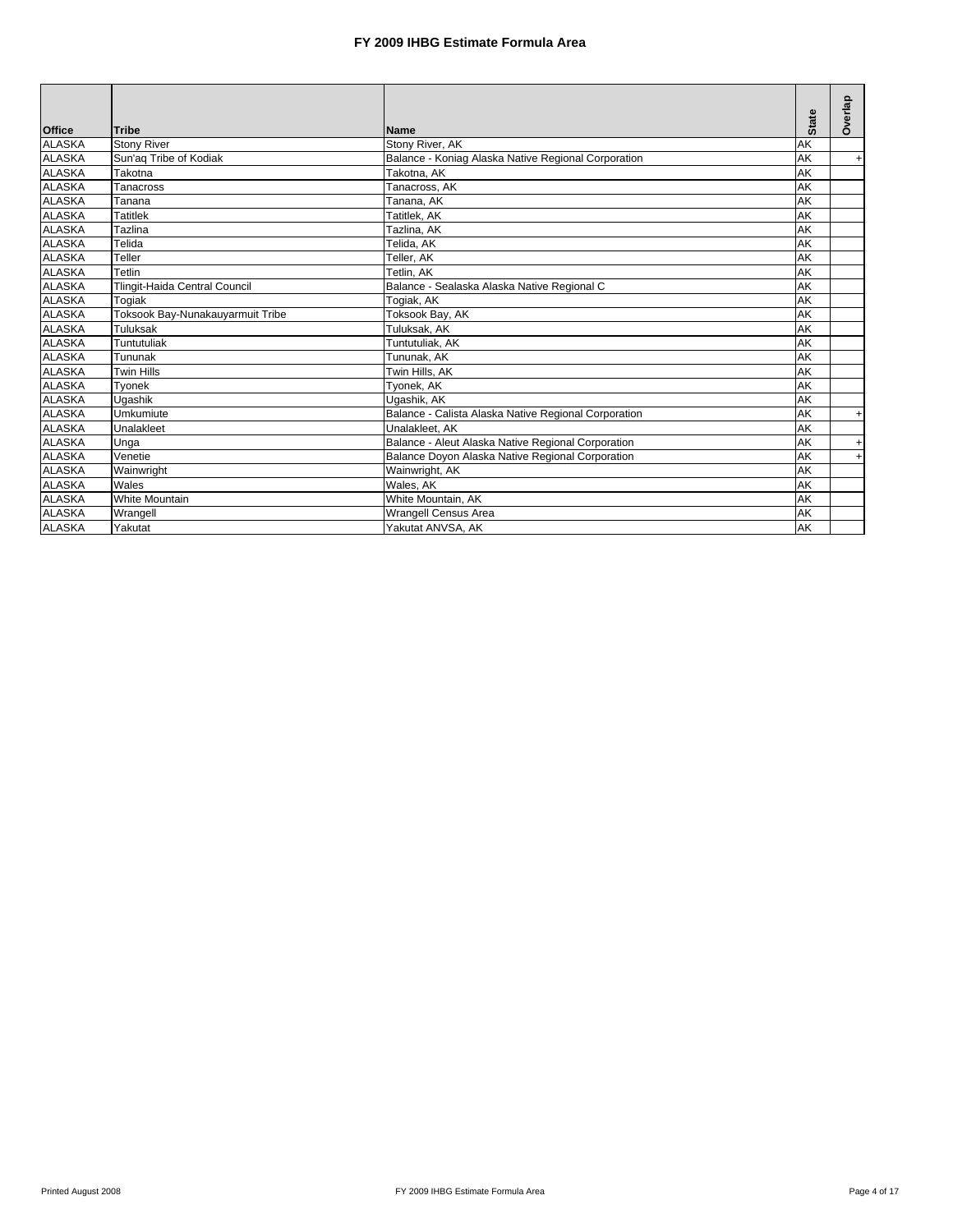|               |                                  |                                                      |              | Overlap   |
|---------------|----------------------------------|------------------------------------------------------|--------------|-----------|
| <b>Office</b> | Tribe                            | <b>Name</b>                                          | <b>State</b> |           |
| <b>ALASKA</b> | <b>Stony River</b>               | Stony River, AK                                      | AK           |           |
| <b>ALASKA</b> | Sun'ag Tribe of Kodiak           | Balance - Koniag Alaska Native Regional Corporation  | AK           | $+$       |
| <b>ALASKA</b> | Takotna                          | Takotna, AK                                          | AK           |           |
| <b>ALASKA</b> | Tanacross                        | Tanacross, AK                                        | AK           |           |
| <b>ALASKA</b> | Tanana                           | Tanana, AK                                           | AK           |           |
| <b>ALASKA</b> | <b>Tatitlek</b>                  | Tatitlek, AK                                         | AK           |           |
| <b>ALASKA</b> | Tazlina                          | Tazlina, AK                                          | AK           |           |
| <b>ALASKA</b> | Telida                           | Telida, AK                                           | AK           |           |
| <b>ALASKA</b> | Teller                           | Teller, AK                                           | AK           |           |
| <b>ALASKA</b> | Tetlin                           | Tetlin, AK                                           | AK           |           |
| <b>ALASKA</b> | Tlingit-Haida Central Council    | Balance - Sealaska Alaska Native Regional C          | AK           |           |
| <b>ALASKA</b> | Togiak                           | Togiak, AK                                           | AK           |           |
| <b>ALASKA</b> | Toksook Bay-Nunakauyarmuit Tribe | Toksook Bay, AK                                      | AK           |           |
| ALASKA        | Tuluksak                         | Tuluksak, AK                                         | AK           |           |
| <b>ALASKA</b> | Tuntutuliak                      | Tuntutuliak, AK                                      | AK           |           |
| <b>ALASKA</b> | Tununak                          | Tununak. AK                                          | AK           |           |
| <b>ALASKA</b> | <b>Twin Hills</b>                | Twin Hills, AK                                       | AK           |           |
| <b>ALASKA</b> | Tyonek                           | Tyonek, AK                                           | AK           |           |
| <b>ALASKA</b> | Ugashik                          | Ugashik, AK                                          | AK           |           |
| <b>ALASKA</b> | Umkumiute                        | Balance - Calista Alaska Native Regional Corporation | AK           | $\ddot{}$ |
| <b>ALASKA</b> | Unalakleet                       | Unalakleet, AK                                       | AK           |           |
| <b>ALASKA</b> | Unga                             | Balance - Aleut Alaska Native Regional Corporation   | AK           | +         |
| ALASKA        | Venetie                          | Balance Doyon Alaska Native Regional Corporation     | AK           | $\ddot{}$ |
| <b>ALASKA</b> | Wainwright                       | Wainwright, AK                                       | AK           |           |
| <b>ALASKA</b> | Wales                            | Wales, AK                                            | AK           |           |
| <b>ALASKA</b> | <b>White Mountain</b>            | White Mountain, AK                                   | AK           |           |
| <b>ALASKA</b> | Wrangell                         | <b>Wrangell Census Area</b>                          | AK           |           |
| <b>ALASKA</b> | Yakutat                          | Yakutat ANVSA, AK                                    | AK           |           |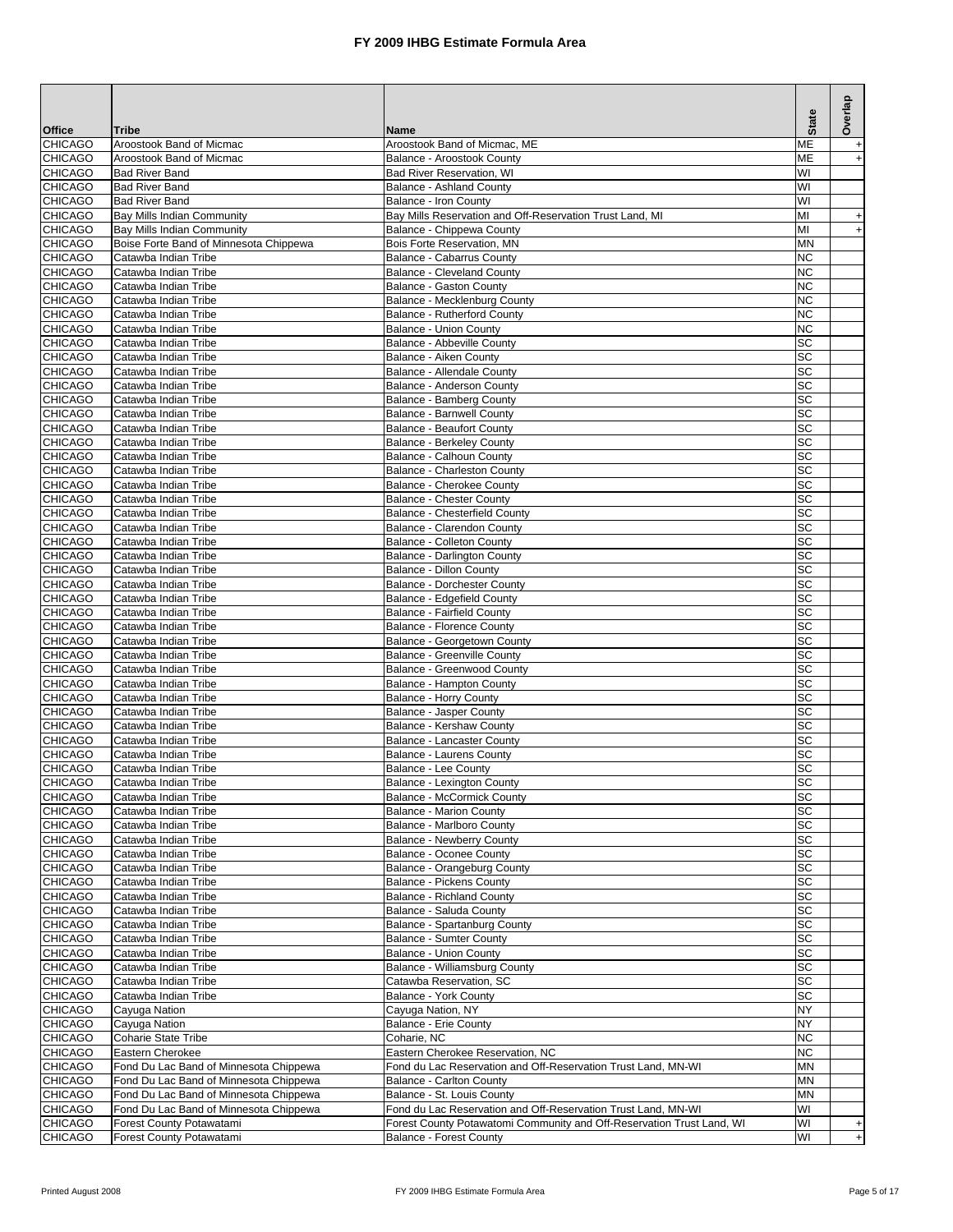| <b>Office</b>                    | <b>Tribe</b>                                         | Name                                                                                                    | <b>State</b>    | Overlap                          |
|----------------------------------|------------------------------------------------------|---------------------------------------------------------------------------------------------------------|-----------------|----------------------------------|
| <b>CHICAGO</b>                   | Aroostook Band of Micmac                             | Aroostook Band of Micmac. ME                                                                            | мЕ              |                                  |
| <b>CHICAGO</b>                   | Aroostook Band of Micmac                             | Balance - Aroostook County                                                                              | ME              | $\ddot{}$                        |
| <b>CHICAGO</b>                   | <b>Bad River Band</b>                                | <b>Bad River Reservation, WI</b>                                                                        | WI              |                                  |
| <b>CHICAGO</b>                   | <b>Bad River Band</b><br><b>Bad River Band</b>       | Balance - Ashland County                                                                                | WI              |                                  |
| <b>CHICAGO</b><br><b>CHICAGO</b> | Bay Mills Indian Community                           | Balance - Iron County<br>Bay Mills Reservation and Off-Reservation Trust Land, MI                       | WI<br>MI        | $\begin{array}{c} + \end{array}$ |
| <b>CHICAGO</b>                   | Bay Mills Indian Community                           | Balance - Chippewa County                                                                               | MI              | $\begin{array}{c} + \end{array}$ |
| <b>CHICAGO</b>                   | Boise Forte Band of Minnesota Chippewa               | Bois Forte Reservation, MN                                                                              | <b>MN</b>       |                                  |
| <b>CHICAGO</b>                   | Catawba Indian Tribe                                 | Balance - Cabarrus County                                                                               | NC              |                                  |
| <b>CHICAGO</b>                   | Catawba Indian Tribe                                 | <b>Balance - Cleveland County</b>                                                                       | NC              |                                  |
| <b>CHICAGO</b>                   | Catawba Indian Tribe                                 | Balance - Gaston County                                                                                 | ΝC              |                                  |
| <b>CHICAGO</b><br><b>CHICAGO</b> | Catawba Indian Tribe<br>Catawba Indian Tribe         | Balance - Mecklenburg County<br>Balance - Rutherford County                                             | NC<br>NС        |                                  |
| <b>CHICAGO</b>                   | Catawba Indian Tribe                                 | <b>Balance - Union County</b>                                                                           | <b>NC</b>       |                                  |
| <b>CHICAGO</b>                   | Catawba Indian Tribe                                 | Balance - Abbeville County                                                                              | SC              |                                  |
| <b>CHICAGO</b>                   | Catawba Indian Tribe                                 | Balance - Aiken County                                                                                  | SC              |                                  |
| <b>CHICAGO</b>                   | Catawba Indian Tribe                                 | Balance - Allendale County                                                                              | SC              |                                  |
| <b>CHICAGO</b>                   | Catawba Indian Tribe                                 | Balance - Anderson County                                                                               | SC              |                                  |
| <b>CHICAGO</b><br><b>CHICAGO</b> | Catawba Indian Tribe<br>Catawba Indian Tribe         | Balance - Bamberg County<br><b>Balance - Barnwell County</b>                                            | SC<br>SC        |                                  |
| <b>CHICAGO</b>                   | Catawba Indian Tribe                                 | <b>Balance - Beaufort County</b>                                                                        | SC              |                                  |
| <b>CHICAGO</b>                   | Catawba Indian Tribe                                 | <b>Balance - Berkeley County</b>                                                                        | SC              |                                  |
| <b>CHICAGO</b>                   | Catawba Indian Tribe                                 | Balance - Calhoun County                                                                                | SC              |                                  |
| <b>CHICAGO</b>                   | Catawba Indian Tribe                                 | Balance - Charleston County                                                                             | SC              |                                  |
| <b>CHICAGO</b>                   | Catawba Indian Tribe                                 | Balance - Cherokee County                                                                               | SC              |                                  |
| <b>CHICAGO</b>                   | Catawba Indian Tribe                                 | <b>Balance - Chester County</b>                                                                         | SC              |                                  |
| <b>CHICAGO</b><br><b>CHICAGO</b> | Catawba Indian Tribe<br>Catawba Indian Tribe         | Balance - Chesterfield County<br>Balance - Clarendon County                                             | SC<br>SC        |                                  |
| <b>CHICAGO</b>                   | Catawba Indian Tribe                                 | Balance - Colleton County                                                                               | SC              |                                  |
| <b>CHICAGO</b>                   | Catawba Indian Tribe                                 | Balance - Darlington County                                                                             | SC              |                                  |
| <b>CHICAGO</b>                   | Catawba Indian Tribe                                 | Balance - Dillon County                                                                                 | SC              |                                  |
| <b>CHICAGO</b>                   | Catawba Indian Tribe                                 | Balance - Dorchester County                                                                             | SC              |                                  |
| <b>CHICAGO</b>                   | Catawba Indian Tribe                                 | Balance - Edgefield County                                                                              | SC              |                                  |
| <b>CHICAGO</b><br><b>CHICAGO</b> | Catawba Indian Tribe<br>Catawba Indian Tribe         | Balance - Fairfield County<br>Balance - Florence County                                                 | SC<br>SC        |                                  |
| <b>CHICAGO</b>                   | Catawba Indian Tribe                                 | Balance - Georgetown County                                                                             | SC              |                                  |
| <b>CHICAGO</b>                   | Catawba Indian Tribe                                 | Balance - Greenville County                                                                             | SC              |                                  |
| <b>CHICAGO</b>                   | Catawba Indian Tribe                                 | Balance - Greenwood County                                                                              | SC              |                                  |
| <b>CHICAGO</b>                   | Catawba Indian Tribe                                 | Balance - Hampton County                                                                                | SC              |                                  |
| <b>CHICAGO</b>                   | Catawba Indian Tribe                                 | Balance - Horry County                                                                                  | SC              |                                  |
| <b>CHICAGO</b><br><b>CHICAGO</b> | Catawba Indian Tribe<br>Catawba Indian Tribe         | Balance - Jasper County<br>Balance - Kershaw County                                                     | SC<br>SC        |                                  |
| <b>CHICAGO</b>                   | Catawba Indian Tribe                                 | Balance - Lancaster County                                                                              | SC              |                                  |
| <b>CHICAGO</b>                   | Catawba Indian Tribe                                 | Balance - Laurens County                                                                                | SC              |                                  |
| <b>CHICAGO</b>                   | Catawba Indian Tribe                                 | Balance - Lee County                                                                                    | SC              |                                  |
| <b>CHICAGO</b>                   | Catawba Indian Tribe                                 | Balance - Lexington County                                                                              | $\overline{SC}$ |                                  |
| <b>CHICAGO</b>                   | Catawba Indian Tribe                                 | Balance - McCormick County                                                                              | SC              |                                  |
| <b>CHICAGO</b>                   | Catawba Indian Tribe                                 | <b>Balance - Marion County</b>                                                                          | SC              |                                  |
| <b>CHICAGO</b><br><b>CHICAGO</b> | Catawba Indian Tribe<br>Catawba Indian Tribe         | Balance - Marlboro County<br><b>Balance - Newberry County</b>                                           | SC<br>SC        |                                  |
| <b>CHICAGO</b>                   | Catawba Indian Tribe                                 | Balance - Oconee County                                                                                 | SC              |                                  |
| <b>CHICAGO</b>                   | Catawba Indian Tribe                                 | Balance - Orangeburg County                                                                             | SC              |                                  |
| <b>CHICAGO</b>                   | Catawba Indian Tribe                                 | Balance - Pickens County                                                                                | SC              |                                  |
| <b>CHICAGO</b>                   | Catawba Indian Tribe                                 | Balance - Richland County                                                                               | SC              |                                  |
| <b>CHICAGO</b>                   | Catawba Indian Tribe                                 | Balance - Saluda County                                                                                 | SC              |                                  |
| <b>CHICAGO</b><br><b>CHICAGO</b> | Catawba Indian Tribe<br>Catawba Indian Tribe         | Balance - Spartanburg County<br><b>Balance - Sumter County</b>                                          | SC<br>SC        |                                  |
| <b>CHICAGO</b>                   | Catawba Indian Tribe                                 | Balance - Union County                                                                                  | SC              |                                  |
| <b>CHICAGO</b>                   | Catawba Indian Tribe                                 | Balance - Williamsburg County                                                                           | SC              |                                  |
| <b>CHICAGO</b>                   | Catawba Indian Tribe                                 | Catawba Reservation, SC                                                                                 | SC              |                                  |
| <b>CHICAGO</b>                   | Catawba Indian Tribe                                 | Balance - York County                                                                                   | SC              |                                  |
| <b>CHICAGO</b>                   | Cayuga Nation                                        | Cayuga Nation, NY                                                                                       | ΝY<br>NY        |                                  |
| <b>CHICAGO</b><br><b>CHICAGO</b> | Cayuga Nation<br>Coharie State Tribe                 | Balance - Erie County<br>Coharie, NC                                                                    | NC              |                                  |
| <b>CHICAGO</b>                   | Eastern Cherokee                                     | Eastern Cherokee Reservation, NC                                                                        | NC.             |                                  |
| <b>CHICAGO</b>                   | Fond Du Lac Band of Minnesota Chippewa               | Fond du Lac Reservation and Off-Reservation Trust Land, MN-WI                                           | MN              |                                  |
| <b>CHICAGO</b>                   | Fond Du Lac Band of Minnesota Chippewa               | <b>Balance - Carlton County</b>                                                                         | MN              |                                  |
| <b>CHICAGO</b>                   | Fond Du Lac Band of Minnesota Chippewa               | Balance - St. Louis County                                                                              | MN              |                                  |
| <b>CHICAGO</b>                   | Fond Du Lac Band of Minnesota Chippewa               | Fond du Lac Reservation and Off-Reservation Trust Land, MN-WI                                           | WI              |                                  |
| <b>CHICAGO</b><br><b>CHICAGO</b> | Forest County Potawatami<br>Forest County Potawatami | Forest County Potawatomi Community and Off-Reservation Trust Land, WI<br><b>Balance - Forest County</b> | WI<br>WI        | $+$                              |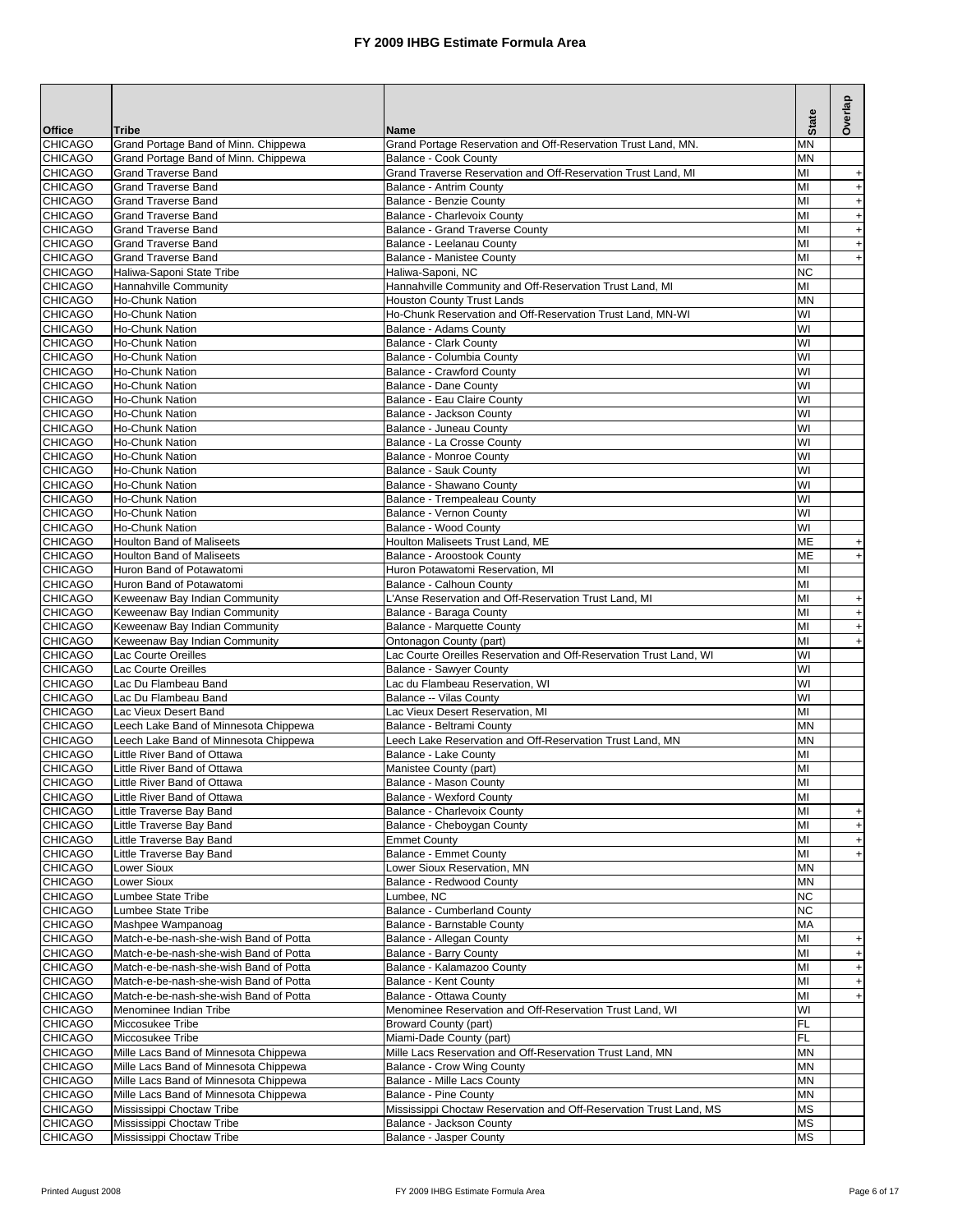|                                  |                                                            |                                                                                               |                 | Overlap                          |
|----------------------------------|------------------------------------------------------------|-----------------------------------------------------------------------------------------------|-----------------|----------------------------------|
| <b>Office</b>                    | <b>Tribe</b>                                               | <b>Name</b>                                                                                   | <b>State</b>    |                                  |
| <b>CHICAGO</b>                   | Grand Portage Band of Minn. Chippewa                       | Grand Portage Reservation and Off-Reservation Trust Land, MN.                                 | MN              |                                  |
| <b>CHICAGO</b>                   | Grand Portage Band of Minn. Chippewa                       | Balance - Cook County                                                                         | <b>MN</b>       |                                  |
| CHICAGO<br><b>CHICAGO</b>        | <b>Grand Traverse Band</b><br><b>Grand Traverse Band</b>   | Grand Traverse Reservation and Off-Reservation Trust Land, MI<br>Balance - Antrim County      | MI<br>MI        | $\ddot{}$<br>$\ddot{}$           |
| <b>CHICAGO</b>                   | <b>Grand Traverse Band</b>                                 | Balance - Benzie County                                                                       | MI              | $\ddot{}$                        |
| <b>CHICAGO</b>                   | <b>Grand Traverse Band</b>                                 | Balance - Charlevoix County                                                                   | MI              | $\ddot{}$                        |
| <b>CHICAGO</b>                   | <b>Grand Traverse Band</b>                                 | Balance - Grand Traverse County                                                               | MI              | $\ddot{}$                        |
| <b>CHICAGO</b>                   | <b>Grand Traverse Band</b>                                 | Balance - Leelanau County                                                                     | мі              | $\begin{array}{c} + \end{array}$ |
| <b>CHICAGO</b>                   | <b>Grand Traverse Band</b>                                 | Balance - Manistee County                                                                     | мі              | $\ddot{}$                        |
| <b>CHICAGO</b>                   | Haliwa-Saponi State Tribe                                  | Haliwa-Saponi, NC                                                                             | <b>NC</b>       |                                  |
| <b>CHICAGO</b><br><b>CHICAGO</b> | Hannahville Community<br><b>Ho-Chunk Nation</b>            | Hannahville Community and Off-Reservation Trust Land, MI<br><b>Houston County Trust Lands</b> | MI<br><b>MN</b> |                                  |
| <b>CHICAGO</b>                   | <b>Ho-Chunk Nation</b>                                     | Ho-Chunk Reservation and Off-Reservation Trust Land, MN-WI                                    | WI              |                                  |
| <b>CHICAGO</b>                   | Ho-Chunk Nation                                            | Balance - Adams County                                                                        | WI              |                                  |
| <b>CHICAGO</b>                   | <b>Ho-Chunk Nation</b>                                     | Balance - Clark County                                                                        | WI              |                                  |
| <b>CHICAGO</b>                   | <b>Ho-Chunk Nation</b>                                     | Balance - Columbia County                                                                     | WI              |                                  |
| <b>CHICAGO</b>                   | Ho-Chunk Nation                                            | <b>Balance - Crawford County</b>                                                              | WI              |                                  |
| <b>CHICAGO</b>                   | <b>Ho-Chunk Nation</b>                                     | Balance - Dane County                                                                         | WI              |                                  |
| <b>CHICAGO</b><br><b>CHICAGO</b> | Ho-Chunk Nation<br><b>Ho-Chunk Nation</b>                  | Balance - Eau Claire County<br>Balance - Jackson County                                       | WI<br>WI        |                                  |
| <b>CHICAGO</b>                   | <b>Ho-Chunk Nation</b>                                     | Balance - Juneau County                                                                       | WI              |                                  |
| <b>CHICAGO</b>                   | <b>Ho-Chunk Nation</b>                                     | Balance - La Crosse County                                                                    | WI              |                                  |
| <b>CHICAGO</b>                   | <b>Ho-Chunk Nation</b>                                     | Balance - Monroe County                                                                       | WI              |                                  |
| <b>CHICAGO</b>                   | <b>Ho-Chunk Nation</b>                                     | Balance - Sauk County                                                                         | WI              |                                  |
| CHICAGO                          | <b>Ho-Chunk Nation</b>                                     | Balance - Shawano County                                                                      | WI              |                                  |
| <b>CHICAGO</b>                   | <b>Ho-Chunk Nation</b>                                     | Balance - Trempealeau County                                                                  | WI              |                                  |
| <b>CHICAGO</b>                   | <b>Ho-Chunk Nation</b>                                     | Balance - Vernon County                                                                       | WI              |                                  |
| CHICAGO<br><b>CHICAGO</b>        | <b>Ho-Chunk Nation</b><br><b>Houlton Band of Maliseets</b> | Balance - Wood County<br>Houlton Maliseets Trust Land, ME                                     | WI<br>ME        |                                  |
| <b>CHICAGO</b>                   | <b>Houlton Band of Maliseets</b>                           | Balance - Aroostook County                                                                    | <b>ME</b>       | $\ddot{}$<br>$\ddot{}$           |
| <b>CHICAGO</b>                   | Huron Band of Potawatomi                                   | Huron Potawatomi Reservation, MI                                                              | MI              |                                  |
| <b>CHICAGO</b>                   | Huron Band of Potawatomi                                   | Balance - Calhoun County                                                                      | MI              |                                  |
| <b>CHICAGO</b>                   | Keweenaw Bay Indian Community                              | L'Anse Reservation and Off-Reservation Trust Land, MI                                         | MI              | $\begin{array}{c} + \end{array}$ |
| <b>CHICAGO</b>                   | Keweenaw Bay Indian Community                              | Balance - Baraga County                                                                       | MI              | $\begin{array}{c} + \end{array}$ |
| <b>CHICAGO</b>                   | Keweenaw Bay Indian Community                              | Balance - Marquette County                                                                    | MI              | $\ddot{}$                        |
| <b>CHICAGO</b>                   | Keweenaw Bay Indian Community                              | Ontonagon County (part)                                                                       | MI              | $\ddot{}$                        |
| <b>CHICAGO</b><br><b>CHICAGO</b> | Lac Courte Oreilles<br>Lac Courte Oreilles                 | Lac Courte Oreilles Reservation and Off-Reservation Trust Land, WI<br>Balance - Sawyer County | WI<br>WI        |                                  |
| <b>CHICAGO</b>                   | Lac Du Flambeau Band                                       | Lac du Flambeau Reservation, WI                                                               | WI              |                                  |
| <b>CHICAGO</b>                   | Lac Du Flambeau Band                                       | Balance -- Vilas County                                                                       | WI              |                                  |
| <b>CHICAGO</b>                   | Lac Vieux Desert Band                                      | Lac Vieux Desert Reservation, MI                                                              | MI              |                                  |
| <b>CHICAGO</b>                   | Leech Lake Band of Minnesota Chippewa                      | Balance - Beltrami County                                                                     | <b>MN</b>       |                                  |
| <b>CHICAGO</b>                   | Leech Lake Band of Minnesota Chippewa                      | Leech Lake Reservation and Off-Reservation Trust Land, MN                                     | <b>MN</b>       |                                  |
| <b>CHICAGO</b>                   | Little River Band of Ottawa                                | Balance - Lake County                                                                         | МΙ              |                                  |
| <b>CHICAGO</b><br><b>CHICAGO</b> | Little River Band of Ottawa<br>Little River Band of Ottawa | Manistee County (part)<br>Balance - Mason County                                              | MI<br>MI        |                                  |
| <b>CHICAGO</b>                   | Little River Band of Ottawa                                | Balance - Wexford County                                                                      | MI              |                                  |
| <b>CHICAGO</b>                   | Little Traverse Bay Band                                   | Balance - Charlevoix County                                                                   | MI              | $\ddot{}$                        |
| <b>CHICAGO</b>                   | Little Traverse Bay Band                                   | Balance - Cheboygan County                                                                    | MI              | $\ddot{}$                        |
| <b>CHICAGO</b>                   | Little Traverse Bay Band                                   | <b>Emmet County</b>                                                                           | MI              | $\ddot{}$                        |
| <b>CHICAGO</b>                   | Little Traverse Bay Band                                   | <b>Balance - Emmet County</b>                                                                 | MI              | $\ddot{}$                        |
| <b>CHICAGO</b>                   | Lower Sioux                                                | Lower Sioux Reservation, MN                                                                   | MN              |                                  |
| CHICAGO<br><b>CHICAGO</b>        | Lower Sioux<br>Lumbee State Tribe                          | Balance - Redwood County<br>Lumbee, NC                                                        | MN<br>NC.       |                                  |
| <b>CHICAGO</b>                   | Lumbee State Tribe                                         | Balance - Cumberland County                                                                   | <b>NC</b>       |                                  |
| <b>CHICAGO</b>                   | Mashpee Wampanoag                                          | Balance - Barnstable County                                                                   | MA              |                                  |
| CHICAGO                          | Match-e-be-nash-she-wish Band of Potta                     | Balance - Allegan County                                                                      | MI              | $\begin{array}{c} + \end{array}$ |
| <b>CHICAGO</b>                   | Match-e-be-nash-she-wish Band of Potta                     | <b>Balance - Barry County</b>                                                                 | MI              | $\ddot{}$                        |
| <b>CHICAGO</b>                   | Match-e-be-nash-she-wish Band of Potta                     | Balance - Kalamazoo County                                                                    | MI              | $\ddot{}$                        |
| <b>CHICAGO</b>                   | Match-e-be-nash-she-wish Band of Potta                     | Balance - Kent County                                                                         | MI              | $\begin{array}{c} + \end{array}$ |
| <b>CHICAGO</b>                   | Match-e-be-nash-she-wish Band of Potta                     | Balance - Ottawa County                                                                       | MI              | $\ddot{}$                        |
| <b>CHICAGO</b><br><b>CHICAGO</b> | Menominee Indian Tribe<br>Miccosukee Tribe                 | Menominee Reservation and Off-Reservation Trust Land, WI<br>Broward County (part)             | WI<br>FL        |                                  |
| <b>CHICAGO</b>                   | Miccosukee Tribe                                           | Miami-Dade County (part)                                                                      | FL              |                                  |
| <b>CHICAGO</b>                   | Mille Lacs Band of Minnesota Chippewa                      | Mille Lacs Reservation and Off-Reservation Trust Land, MN                                     | <b>MN</b>       |                                  |
| <b>CHICAGO</b>                   | Mille Lacs Band of Minnesota Chippewa                      | Balance - Crow Wing County                                                                    | MN              |                                  |
| <b>CHICAGO</b>                   | Mille Lacs Band of Minnesota Chippewa                      | Balance - Mille Lacs County                                                                   | MN              |                                  |
| <b>CHICAGO</b>                   | Mille Lacs Band of Minnesota Chippewa                      | Balance - Pine County                                                                         | <b>MN</b>       |                                  |
| <b>CHICAGO</b><br><b>CHICAGO</b> | Mississippi Choctaw Tribe                                  | Mississippi Choctaw Reservation and Off-Reservation Trust Land, MS                            | <b>MS</b>       |                                  |
| <b>CHICAGO</b>                   | Mississippi Choctaw Tribe<br>Mississippi Choctaw Tribe     | Balance - Jackson County<br>Balance - Jasper County                                           | MS<br>МS        |                                  |
|                                  |                                                            |                                                                                               |                 |                                  |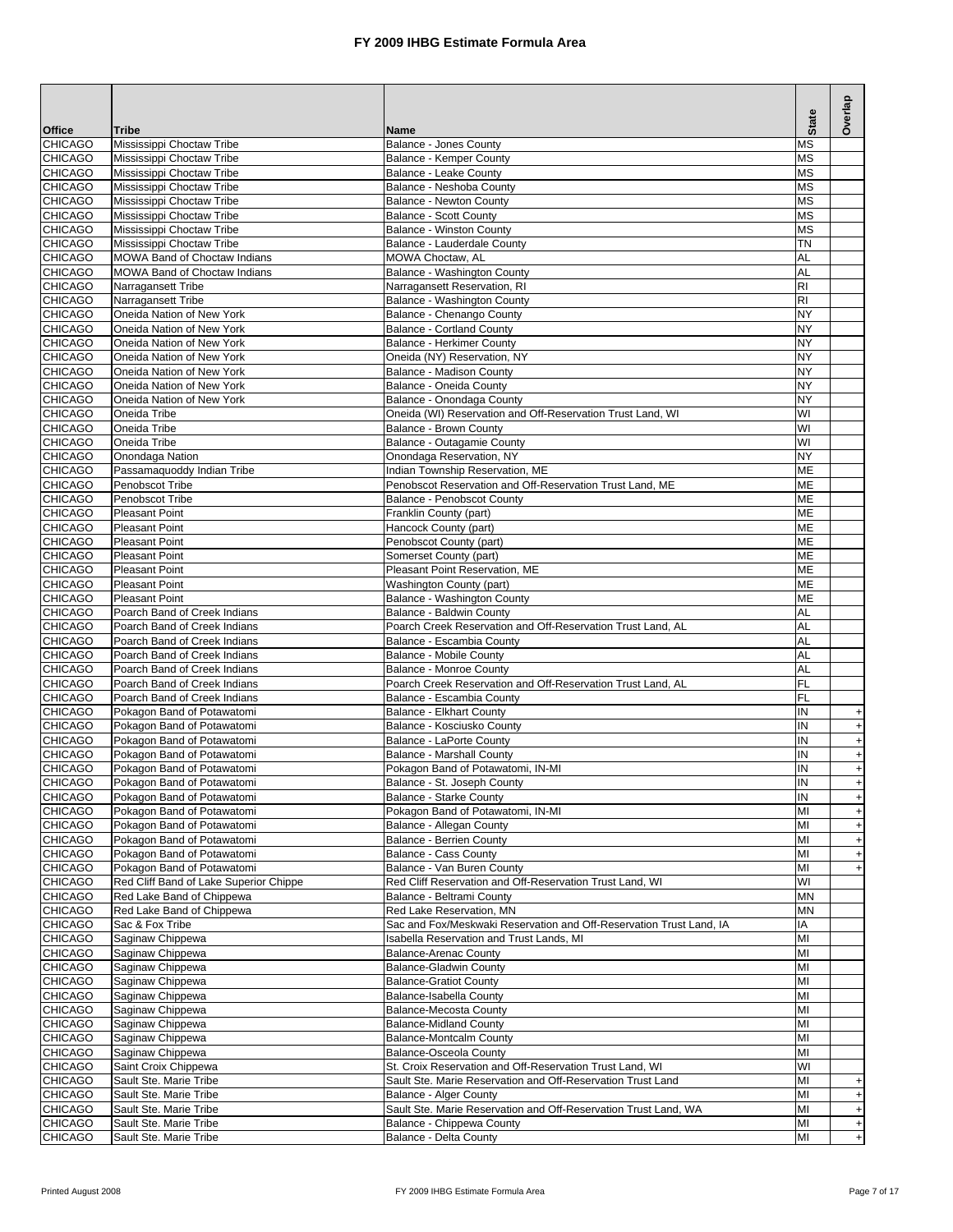|                                  |                                                              |                                                                                           | <b>State</b>           | Overlap                                 |
|----------------------------------|--------------------------------------------------------------|-------------------------------------------------------------------------------------------|------------------------|-----------------------------------------|
| <b>Office</b>                    | Tribe                                                        | Name                                                                                      |                        |                                         |
| <b>CHICAGO</b><br><b>CHICAGO</b> | Mississippi Choctaw Tribe<br>Mississippi Choctaw Tribe       | Balance - Jones County<br>Balance - Kemper County                                         | МS<br>ΜS               |                                         |
| CHICAGO                          | Mississippi Choctaw Tribe                                    | Balance - Leake County                                                                    | ΜS                     |                                         |
| <b>CHICAGO</b>                   | Mississippi Choctaw Tribe                                    | Balance - Neshoba County                                                                  | <b>MS</b>              |                                         |
| <b>CHICAGO</b>                   | Mississippi Choctaw Tribe                                    | Balance - Newton County                                                                   | <b>MS</b>              |                                         |
| <b>CHICAGO</b>                   | Mississippi Choctaw Tribe                                    | Balance - Scott County                                                                    | <b>MS</b>              |                                         |
| <b>CHICAGO</b>                   | Mississippi Choctaw Tribe                                    | Balance - Winston County                                                                  | <b>MS</b><br>ΤN        |                                         |
| <b>CHICAGO</b><br><b>CHICAGO</b> | Mississippi Choctaw Tribe<br>MOWA Band of Choctaw Indians    | Balance - Lauderdale County<br><b>MOWA Choctaw, AL</b>                                    | AL                     |                                         |
| <b>CHICAGO</b>                   | <b>MOWA Band of Choctaw Indians</b>                          | Balance - Washington County                                                               | AL                     |                                         |
| <b>CHICAGO</b>                   | Narragansett Tribe                                           | Narragansett Reservation, RI                                                              | <b>RI</b>              |                                         |
| <b>CHICAGO</b>                   | Narragansett Tribe                                           | Balance - Washington County                                                               | RI                     |                                         |
| <b>CHICAGO</b>                   | Oneida Nation of New York                                    | Balance - Chenango County                                                                 | NY                     |                                         |
| <b>CHICAGO</b><br><b>CHICAGO</b> | Oneida Nation of New York<br>Oneida Nation of New York       | <b>Balance - Cortland County</b><br><b>Balance - Herkimer County</b>                      | NY<br>NY               |                                         |
| <b>CHICAGO</b>                   | Oneida Nation of New York                                    | Oneida (NY) Reservation, NY                                                               | NY                     |                                         |
| <b>CHICAGO</b>                   | Oneida Nation of New York                                    | Balance - Madison County                                                                  | NY                     |                                         |
| <b>CHICAGO</b>                   | Oneida Nation of New York                                    | Balance - Oneida County                                                                   | NY                     |                                         |
| <b>CHICAGO</b>                   | Oneida Nation of New York                                    | Balance - Onondaga County                                                                 | NY                     |                                         |
| <b>CHICAGO</b>                   | Oneida Tribe                                                 | Oneida (WI) Reservation and Off-Reservation Trust Land, WI                                | WI                     |                                         |
| <b>CHICAGO</b>                   | Oneida Tribe                                                 | Balance - Brown County                                                                    | WI                     |                                         |
| <b>CHICAGO</b>                   | Oneida Tribe                                                 | Balance - Outagamie County                                                                | WI<br>NY               |                                         |
| <b>CHICAGO</b><br><b>CHICAGO</b> | Onondaga Nation<br>Passamaquoddy Indian Tribe                | Onondaga Reservation, NY<br>Indian Township Reservation, ME                               | ME                     |                                         |
| <b>CHICAGO</b>                   | Penobscot Tribe                                              | Penobscot Reservation and Off-Reservation Trust Land, ME                                  | ME                     |                                         |
| <b>CHICAGO</b>                   | Penobscot Tribe                                              | Balance - Penobscot County                                                                | ME                     |                                         |
| <b>CHICAGO</b>                   | Pleasant Point                                               | Franklin County (part)                                                                    | МЕ                     |                                         |
| <b>CHICAGO</b>                   | <b>Pleasant Point</b>                                        | Hancock County (part)                                                                     | ME                     |                                         |
| <b>CHICAGO</b>                   | <b>Pleasant Point</b>                                        | Penobscot County (part)                                                                   | ME                     |                                         |
| <b>CHICAGO</b><br><b>CHICAGO</b> | <b>Pleasant Point</b><br><b>Pleasant Point</b>               | Somerset County (part)<br>Pleasant Point Reservation, ME                                  | <b>ME</b><br><b>ME</b> |                                         |
| <b>CHICAGO</b>                   | <b>Pleasant Point</b>                                        | Washington County (part)                                                                  | <b>ME</b>              |                                         |
| <b>CHICAGO</b>                   | <b>Pleasant Point</b>                                        | Balance - Washington County                                                               | ME                     |                                         |
| <b>CHICAGO</b>                   | Poarch Band of Creek Indians                                 | Balance - Baldwin County                                                                  | AL                     |                                         |
| <b>CHICAGO</b>                   | Poarch Band of Creek Indians                                 | Poarch Creek Reservation and Off-Reservation Trust Land, AL                               | AL                     |                                         |
| <b>CHICAGO</b>                   | Poarch Band of Creek Indians                                 | Balance - Escambia County                                                                 | AL                     |                                         |
| <b>CHICAGO</b><br><b>CHICAGO</b> | Poarch Band of Creek Indians<br>Poarch Band of Creek Indians | Balance - Mobile County<br>Balance - Monroe County                                        | AL<br>AL               |                                         |
| <b>CHICAGO</b>                   | Poarch Band of Creek Indians                                 | Poarch Creek Reservation and Off-Reservation Trust Land, AL                               | <b>FL</b>              |                                         |
| <b>CHICAGO</b>                   | Poarch Band of Creek Indians                                 | Balance - Escambia County                                                                 | FL                     |                                         |
| <b>CHICAGO</b>                   | Pokagon Band of Potawatomi                                   | <b>Balance - Elkhart County</b>                                                           | IN                     | $\ddot{}$                               |
| <b>CHICAGO</b>                   | Pokagon Band of Potawatomi                                   | Balance - Kosciusko County                                                                | IN                     | $\ddot{}$                               |
| <b>CHICAGO</b>                   | Pokagon Band of Potawatomi                                   | Balance - LaPorte County                                                                  | IN                     | $+$                                     |
| CHICAGO<br><b>CHICAGO</b>        | Pokagon Band of Potawatomi<br>Pokagon Band of Potawatomi     | <b>Balance - Marshall County</b><br>Pokagon Band of Potawatomi, IN-MI                     | IN<br>IN               | $\begin{array}{c} + \end{array}$<br>$+$ |
| <b>CHICAGO</b>                   | Pokagon Band of Potawatomi                                   | Balance - St. Joseph County                                                               | ${\sf IN}$             | $+1$                                    |
| <b>CHICAGO</b>                   | Pokagon Band of Potawatomi                                   | Balance - Starke County                                                                   | IN                     | $+$                                     |
| <b>CHICAGO</b>                   | Pokagon Band of Potawatomi                                   | Pokagon Band of Potawatomi, IN-MI                                                         | MI                     | $+$                                     |
| <b>CHICAGO</b>                   | Pokagon Band of Potawatomi                                   | Balance - Allegan County                                                                  | MI                     | $+$                                     |
| <b>CHICAGO</b>                   | Pokagon Band of Potawatomi                                   | Balance - Berrien County                                                                  | MI                     | $\boldsymbol{+}$                        |
| <b>CHICAGO</b><br><b>CHICAGO</b> | Pokagon Band of Potawatomi<br>Pokagon Band of Potawatomi     | Balance - Cass County<br>Balance - Van Buren County                                       | MI<br>MI               | $+$<br>$\begin{array}{c} + \end{array}$ |
| <b>CHICAGO</b>                   | Red Cliff Band of Lake Superior Chippe                       | Red Cliff Reservation and Off-Reservation Trust Land, WI                                  | WI                     |                                         |
| <b>CHICAGO</b>                   | Red Lake Band of Chippewa                                    | Balance - Beltrami County                                                                 | MN                     |                                         |
| <b>CHICAGO</b>                   | Red Lake Band of Chippewa                                    | Red Lake Reservation, MN                                                                  | MN                     |                                         |
| <b>CHICAGO</b>                   | Sac & Fox Tribe                                              | Sac and Fox/Meskwaki Reservation and Off-Reservation Trust Land, IA                       | ΙA                     |                                         |
| <b>CHICAGO</b>                   | Saginaw Chippewa                                             | Isabella Reservation and Trust Lands, MI                                                  | MI                     |                                         |
| <b>CHICAGO</b><br><b>CHICAGO</b> | Saginaw Chippewa<br>Saginaw Chippewa                         | <b>Balance-Arenac County</b><br><b>Balance-Gladwin County</b>                             | MI<br>MI               |                                         |
| <b>CHICAGO</b>                   | Saginaw Chippewa                                             | <b>Balance-Gratiot County</b>                                                             | MI                     |                                         |
| <b>CHICAGO</b>                   | Saginaw Chippewa                                             | Balance-Isabella County                                                                   | MI                     |                                         |
| <b>CHICAGO</b>                   | Saginaw Chippewa                                             | Balance-Mecosta County                                                                    | MI                     |                                         |
| <b>CHICAGO</b>                   | Saginaw Chippewa                                             | <b>Balance-Midland County</b>                                                             | MI                     |                                         |
| <b>CHICAGO</b>                   | Saginaw Chippewa                                             | <b>Balance-Montcalm County</b>                                                            | MI                     |                                         |
| <b>CHICAGO</b><br><b>CHICAGO</b> | Saginaw Chippewa<br>Saint Croix Chippewa                     | <b>Balance-Osceola County</b><br>St. Croix Reservation and Off-Reservation Trust Land, WI | MI<br>WI               |                                         |
| <b>CHICAGO</b>                   | Sault Ste. Marie Tribe                                       | Sault Ste. Marie Reservation and Off-Reservation Trust Land                               | MI                     | $\ddot{}$                               |
| <b>CHICAGO</b>                   | Sault Ste. Marie Tribe                                       | Balance - Alger County                                                                    | MI                     | $+$                                     |
| <b>CHICAGO</b>                   | Sault Ste. Marie Tribe                                       | Sault Ste. Marie Reservation and Off-Reservation Trust Land, WA                           | MI                     | $\boldsymbol{+}$                        |
| <b>CHICAGO</b>                   | Sault Ste. Marie Tribe                                       | Balance - Chippewa County                                                                 | MI                     | $+$                                     |
| <b>CHICAGO</b>                   | Sault Ste. Marie Tribe                                       | Balance - Delta County                                                                    | MI                     | $+$                                     |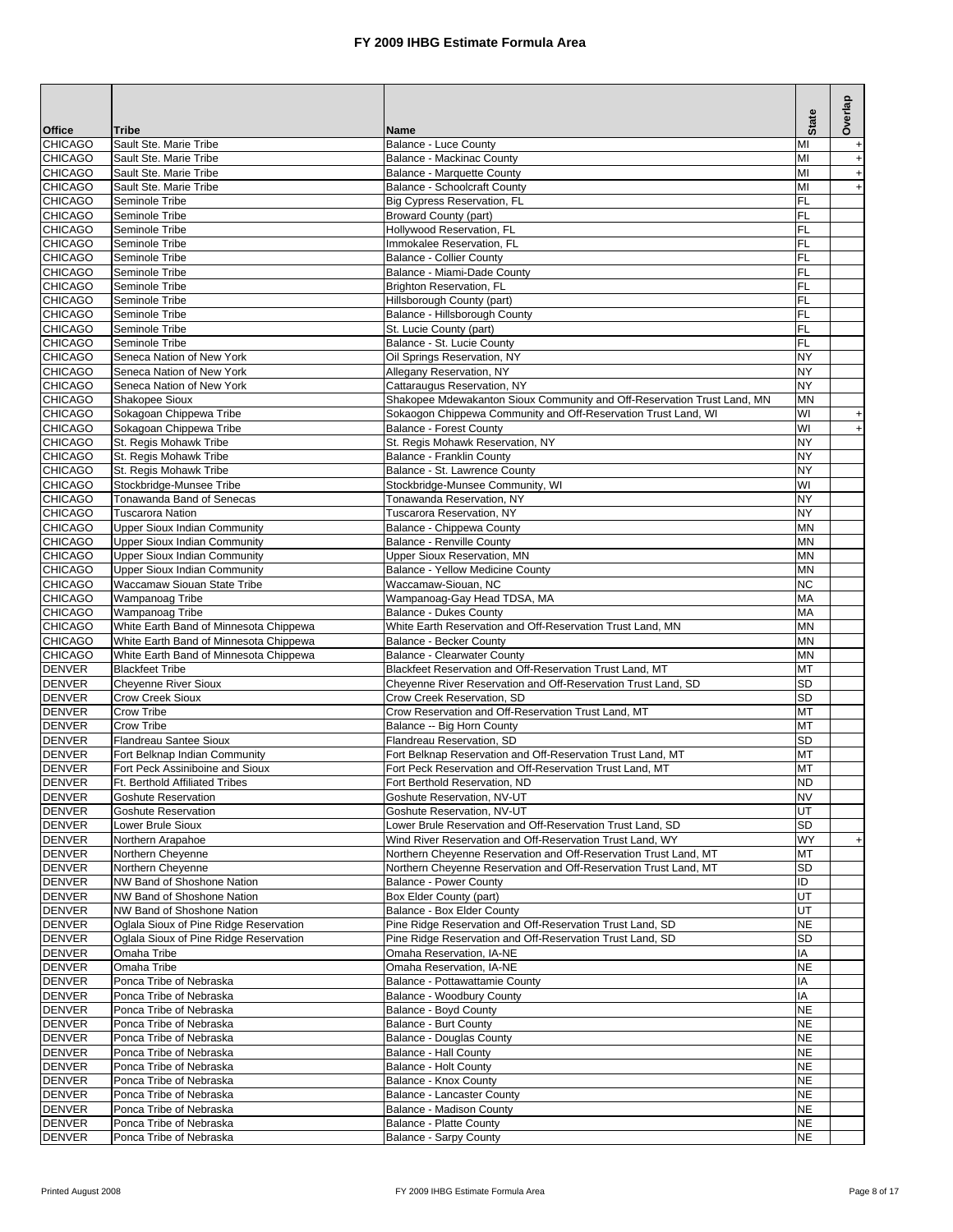|                                  |                                                           |                                                                                                                               |                 | Overlap                                              |
|----------------------------------|-----------------------------------------------------------|-------------------------------------------------------------------------------------------------------------------------------|-----------------|------------------------------------------------------|
| <b>Office</b>                    | Tribe                                                     | <b>Name</b>                                                                                                                   | <b>State</b>    |                                                      |
| <b>CHICAGO</b>                   | Sault Ste. Marie Tribe                                    | <b>Balance - Luce County</b>                                                                                                  | MI              | $+$                                                  |
| <b>CHICAGO</b><br><b>CHICAGO</b> | Sault Ste. Marie Tribe<br>Sault Ste. Marie Tribe          | <b>Balance - Mackinac County</b><br>Balance - Marquette County                                                                | MI<br>MI        | $+$                                                  |
| <b>CHICAGO</b>                   | Sault Ste. Marie Tribe                                    | <b>Balance - Schoolcraft County</b>                                                                                           | MI              | $\boldsymbol{+}$<br>$\begin{array}{c} + \end{array}$ |
| <b>CHICAGO</b>                   | Seminole Tribe                                            | Big Cypress Reservation, FL                                                                                                   | FL              |                                                      |
| <b>CHICAGO</b>                   | Seminole Tribe                                            | <b>Broward County (part)</b>                                                                                                  | FL              |                                                      |
| <b>CHICAGO</b>                   | Seminole Tribe                                            | Hollywood Reservation, FL                                                                                                     | FL              |                                                      |
| <b>CHICAGO</b>                   | Seminole Tribe                                            | Immokalee Reservation, FL                                                                                                     | FL              |                                                      |
| <b>CHICAGO</b><br><b>CHICAGO</b> | Seminole Tribe<br>Seminole Tribe                          | <b>Balance - Collier County</b><br>Balance - Miami-Dade County                                                                | <b>FL</b><br>FL |                                                      |
| <b>CHICAGO</b>                   | Seminole Tribe                                            | <b>Brighton Reservation, FL</b>                                                                                               | FL              |                                                      |
| <b>CHICAGO</b>                   | Seminole Tribe                                            | Hillsborough County (part)                                                                                                    | <b>FL</b>       |                                                      |
| <b>CHICAGO</b>                   | Seminole Tribe                                            | Balance - Hillsborough County                                                                                                 | FL              |                                                      |
| <b>CHICAGO</b>                   | Seminole Tribe                                            | St. Lucie County (part)                                                                                                       | FL              |                                                      |
| <b>CHICAGO</b>                   | Seminole Tribe                                            | Balance - St. Lucie County                                                                                                    | FL              |                                                      |
| <b>CHICAGO</b>                   | Seneca Nation of New York                                 | Oil Springs Reservation, NY                                                                                                   | NY              |                                                      |
| <b>CHICAGO</b><br><b>CHICAGO</b> | Seneca Nation of New York<br>Seneca Nation of New York    | Allegany Reservation, NY<br>Cattaraugus Reservation, NY                                                                       | NY<br>NY        |                                                      |
| <b>CHICAGO</b>                   | Shakopee Sioux                                            | Shakopee Mdewakanton Sioux Community and Off-Reservation Trust Land, MN                                                       | <b>MN</b>       |                                                      |
| <b>CHICAGO</b>                   | Sokagoan Chippewa Tribe                                   | Sokaogon Chippewa Community and Off-Reservation Trust Land, WI                                                                | WI              | $\ddot{}$                                            |
| <b>CHICAGO</b>                   | Sokagoan Chippewa Tribe                                   | <b>Balance - Forest County</b>                                                                                                | WI              | $\ddot{}$                                            |
| <b>CHICAGO</b>                   | St. Regis Mohawk Tribe                                    | St. Regis Mohawk Reservation, NY                                                                                              | NY              |                                                      |
| <b>CHICAGO</b>                   | St. Regis Mohawk Tribe                                    | Balance - Franklin County                                                                                                     | NY              |                                                      |
| <b>CHICAGO</b>                   | St. Regis Mohawk Tribe                                    | Balance - St. Lawrence County                                                                                                 | NY              |                                                      |
| <b>CHICAGO</b><br><b>CHICAGO</b> | Stockbridge-Munsee Tribe                                  | Stockbridge-Munsee Community, WI                                                                                              | WI              |                                                      |
| <b>CHICAGO</b>                   | Tonawanda Band of Senecas<br>Tuscarora Nation             | Tonawanda Reservation, NY<br><b>Tuscarora Reservation, NY</b>                                                                 | <b>NY</b><br>NY |                                                      |
| <b>CHICAGO</b>                   | <b>Upper Sioux Indian Community</b>                       | Balance - Chippewa County                                                                                                     | MN              |                                                      |
| <b>CHICAGO</b>                   | <b>Upper Sioux Indian Community</b>                       | Balance - Renville County                                                                                                     | MN              |                                                      |
| <b>CHICAGO</b>                   | <b>Upper Sioux Indian Community</b>                       | Upper Sioux Reservation, MN                                                                                                   | MN              |                                                      |
| <b>CHICAGO</b>                   | <b>Upper Sioux Indian Community</b>                       | Balance - Yellow Medicine County                                                                                              | MN              |                                                      |
| <b>CHICAGO</b>                   | Waccamaw Siouan State Tribe                               | Waccamaw-Siouan, NC                                                                                                           | <b>NC</b>       |                                                      |
| <b>CHICAGO</b>                   | Wampanoag Tribe                                           | Wampanoag-Gay Head TDSA, MA                                                                                                   | MA              |                                                      |
| <b>CHICAGO</b><br><b>CHICAGO</b> | Wampanoag Tribe<br>White Earth Band of Minnesota Chippewa | <b>Balance - Dukes County</b><br>White Earth Reservation and Off-Reservation Trust Land, MN                                   | MA<br>ΜN        |                                                      |
| <b>CHICAGO</b>                   | White Earth Band of Minnesota Chippewa                    | <b>Balance - Becker County</b>                                                                                                | <b>MN</b>       |                                                      |
| <b>CHICAGO</b>                   | White Earth Band of Minnesota Chippewa                    | Balance - Clearwater County                                                                                                   | MN              |                                                      |
| <b>DENVER</b>                    | <b>Blackfeet Tribe</b>                                    | Blackfeet Reservation and Off-Reservation Trust Land, MT                                                                      | MT              |                                                      |
| <b>DENVER</b>                    | <b>Cheyenne River Sioux</b>                               | Cheyenne River Reservation and Off-Reservation Trust Land, SD                                                                 | <b>SD</b>       |                                                      |
| <b>DENVER</b>                    | <b>Crow Creek Sioux</b>                                   | Crow Creek Reservation, SD                                                                                                    | <b>SD</b>       |                                                      |
| <b>DENVER</b><br><b>DENVER</b>   | Crow Tribe<br><b>Crow Tribe</b>                           | Crow Reservation and Off-Reservation Trust Land, MT                                                                           | МT<br>MT        |                                                      |
| <b>DENVER</b>                    | <b>Flandreau Santee Sioux</b>                             | Balance -- Big Horn County<br>Flandreau Reservation, SD                                                                       | <b>SD</b>       |                                                      |
| <b>DENVER</b>                    | Fort Belknap Indian Community                             | Fort Belknap Reservation and Off-Reservation Trust Land, MT                                                                   | MT              |                                                      |
| <b>DENVER</b>                    | Fort Peck Assiniboine and Sioux                           | Fort Peck Reservation and Off-Reservation Trust Land, MT                                                                      | MT              |                                                      |
| <b>DENVER</b>                    | Ft. Berthold Affiliated Tribes                            | Fort Berthold Reservation, ND                                                                                                 | <b>ND</b>       |                                                      |
| <b>DENVER</b>                    | <b>Goshute Reservation</b>                                | Goshute Reservation, NV-UT                                                                                                    | <b>NV</b>       |                                                      |
| <b>DENVER</b>                    | <b>Goshute Reservation</b>                                | Goshute Reservation, NV-UT                                                                                                    | UT              |                                                      |
| <b>DENVER</b><br><b>DENVER</b>   | Lower Brule Sioux<br>Northern Arapahoe                    | Lower Brule Reservation and Off-Reservation Trust Land, SD                                                                    | SD<br>WY        |                                                      |
| <b>DENVER</b>                    | Northern Cheyenne                                         | Wind River Reservation and Off-Reservation Trust Land, WY<br>Northern Cheyenne Reservation and Off-Reservation Trust Land, MT | MT              | $+$                                                  |
| <b>DENVER</b>                    | Northern Cheyenne                                         | Northern Cheyenne Reservation and Off-Reservation Trust Land, MT                                                              | SD              |                                                      |
| <b>DENVER</b>                    | NW Band of Shoshone Nation                                | <b>Balance - Power County</b>                                                                                                 | ID              |                                                      |
| <b>DENVER</b>                    | NW Band of Shoshone Nation                                | Box Elder County (part)                                                                                                       | UT              |                                                      |
| <b>DENVER</b>                    | NW Band of Shoshone Nation                                | Balance - Box Elder County                                                                                                    | UT              |                                                      |
| <b>DENVER</b>                    | Oglala Sioux of Pine Ridge Reservation                    | Pine Ridge Reservation and Off-Reservation Trust Land, SD                                                                     | NE              |                                                      |
| <b>DENVER</b><br><b>DENVER</b>   | Oglala Sioux of Pine Ridge Reservation                    | Pine Ridge Reservation and Off-Reservation Trust Land, SD<br>Omaha Reservation, IA-NE                                         | SD<br>ΙA        |                                                      |
| <b>DENVER</b>                    | Omaha Tribe<br>Omaha Tribe                                | Omaha Reservation, IA-NE                                                                                                      | <b>NE</b>       |                                                      |
| <b>DENVER</b>                    | Ponca Tribe of Nebraska                                   | Balance - Pottawattamie County                                                                                                | IA              |                                                      |
| <b>DENVER</b>                    | Ponca Tribe of Nebraska                                   | Balance - Woodbury County                                                                                                     | IA              |                                                      |
| <b>DENVER</b>                    | Ponca Tribe of Nebraska                                   | Balance - Boyd County                                                                                                         | <b>NE</b>       |                                                      |
| <b>DENVER</b>                    | Ponca Tribe of Nebraska                                   | Balance - Burt County                                                                                                         | <b>NE</b>       |                                                      |
| <b>DENVER</b>                    | Ponca Tribe of Nebraska                                   | Balance - Douglas County                                                                                                      | NE              |                                                      |
| <b>DENVER</b><br><b>DENVER</b>   | Ponca Tribe of Nebraska<br>Ponca Tribe of Nebraska        | Balance - Hall County<br>Balance - Holt County                                                                                | NE<br>NE        |                                                      |
| <b>DENVER</b>                    | Ponca Tribe of Nebraska                                   | Balance - Knox County                                                                                                         | <b>NE</b>       |                                                      |
| <b>DENVER</b>                    | Ponca Tribe of Nebraska                                   | Balance - Lancaster County                                                                                                    | NE              |                                                      |
| <b>DENVER</b>                    | Ponca Tribe of Nebraska                                   | Balance - Madison County                                                                                                      | <b>NE</b>       |                                                      |
| <b>DENVER</b>                    | Ponca Tribe of Nebraska                                   | Balance - Platte County                                                                                                       | NE              |                                                      |
| <b>DENVER</b>                    | Ponca Tribe of Nebraska                                   | Balance - Sarpy County                                                                                                        | <b>NE</b>       |                                                      |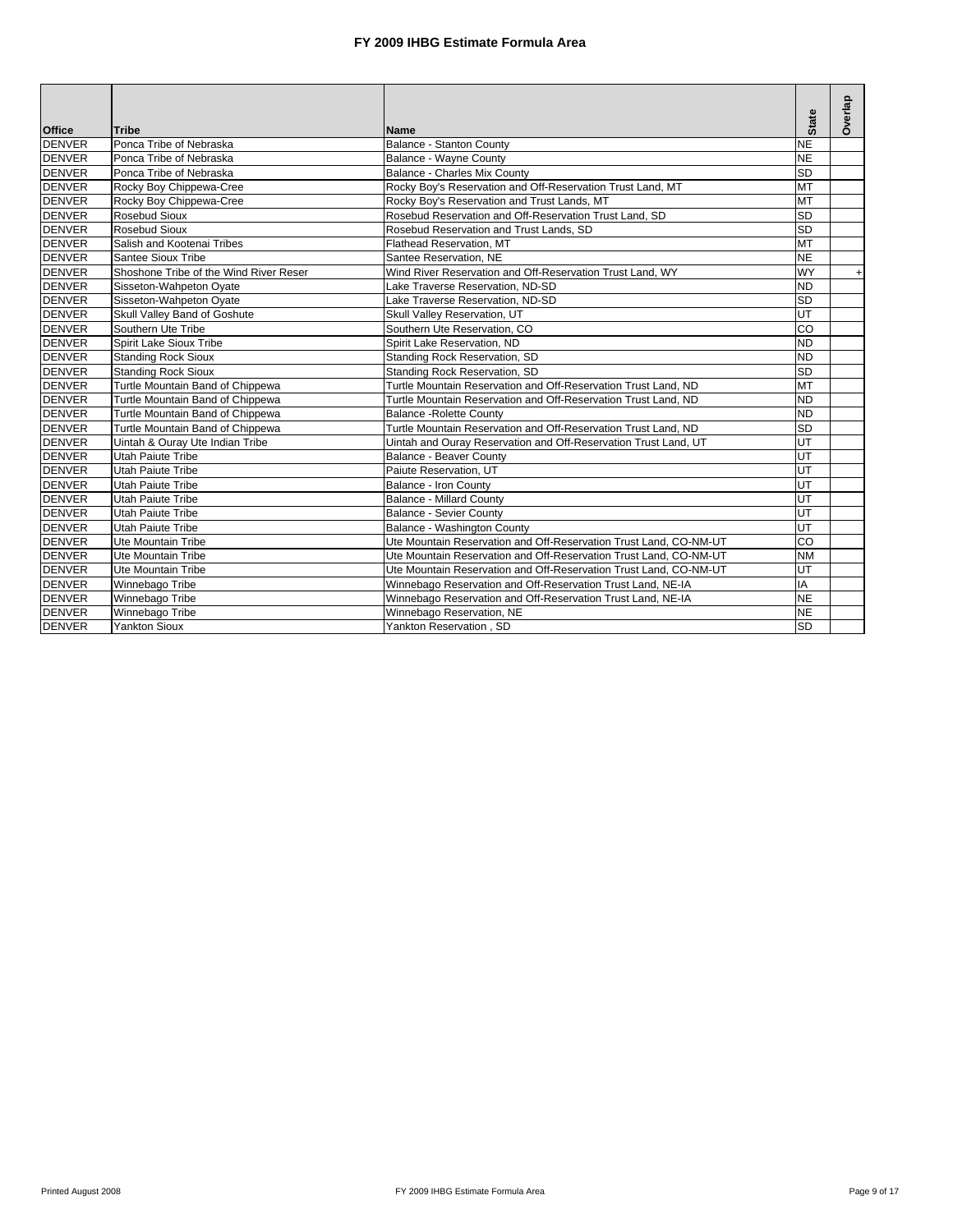|               |                                        |                                                                   | <b>State</b> | Overlap   |
|---------------|----------------------------------------|-------------------------------------------------------------------|--------------|-----------|
| <b>Office</b> | Tribe                                  | <b>Name</b>                                                       |              |           |
| <b>DENVER</b> | Ponca Tribe of Nebraska                | Balance - Stanton County                                          | <b>NE</b>    |           |
| <b>DENVER</b> | Ponca Tribe of Nebraska                | Balance - Wayne County                                            | <b>NE</b>    |           |
| <b>DENVER</b> | Ponca Tribe of Nebraska                | Balance - Charles Mix County                                      | <b>SD</b>    |           |
| <b>DENVER</b> | Rocky Boy Chippewa-Cree                | Rocky Boy's Reservation and Off-Reservation Trust Land, MT        | <b>MT</b>    |           |
| <b>DENVER</b> | Rocky Boy Chippewa-Cree                | Rocky Boy's Reservation and Trust Lands, MT                       | <b>MT</b>    |           |
| <b>DENVER</b> | Rosebud Sioux                          | Rosebud Reservation and Off-Reservation Trust Land, SD            | <b>SD</b>    |           |
| <b>DENVER</b> | Rosebud Sioux                          | Rosebud Reservation and Trust Lands, SD                           | <b>SD</b>    |           |
| <b>DENVER</b> | Salish and Kootenai Tribes             | Flathead Reservation, MT                                          | <b>MT</b>    |           |
| <b>DENVER</b> | Santee Sioux Tribe                     | Santee Reservation, NE                                            | <b>NE</b>    |           |
| <b>DENVER</b> | Shoshone Tribe of the Wind River Reser | Wind River Reservation and Off-Reservation Trust Land, WY         | <b>WY</b>    | $\ddot{}$ |
| <b>DENVER</b> | Sisseton-Wahpeton Oyate                | Lake Traverse Reservation, ND-SD                                  | <b>ND</b>    |           |
| <b>DENVER</b> | Sisseton-Wahpeton Oyate                | Lake Traverse Reservation, ND-SD                                  | <b>SD</b>    |           |
| <b>DENVER</b> | Skull Valley Band of Goshute           | Skull Valley Reservation, UT                                      | UT           |           |
| <b>DENVER</b> | Southern Ute Tribe                     | Southern Ute Reservation, CO                                      | CO           |           |
| <b>DENVER</b> | Spirit Lake Sioux Tribe                | Spirit Lake Reservation, ND                                       | <b>ND</b>    |           |
| <b>DENVER</b> | <b>Standing Rock Sioux</b>             | Standing Rock Reservation, SD                                     | <b>ND</b>    |           |
| <b>DENVER</b> | <b>Standing Rock Sioux</b>             | Standing Rock Reservation, SD                                     | <b>SD</b>    |           |
| <b>DENVER</b> | Turtle Mountain Band of Chippewa       | Turtle Mountain Reservation and Off-Reservation Trust Land, ND    | <b>MT</b>    |           |
| <b>DENVER</b> | Turtle Mountain Band of Chippewa       | Turtle Mountain Reservation and Off-Reservation Trust Land, ND    | <b>ND</b>    |           |
| <b>DENVER</b> | Turtle Mountain Band of Chippewa       | <b>Balance - Rolette County</b>                                   | <b>ND</b>    |           |
| <b>DENVER</b> | Turtle Mountain Band of Chippewa       | Turtle Mountain Reservation and Off-Reservation Trust Land, ND    | <b>SD</b>    |           |
| <b>DENVER</b> | Uintah & Ouray Ute Indian Tribe        | Uintah and Ouray Reservation and Off-Reservation Trust Land, UT   | UT           |           |
| <b>DENVER</b> | <b>Utah Paiute Tribe</b>               | <b>Balance - Beaver County</b>                                    | UT           |           |
| <b>DENVER</b> | <b>Utah Paiute Tribe</b>               | Paiute Reservation, UT                                            | UT           |           |
| <b>DENVER</b> | <b>Utah Paiute Tribe</b>               | Balance - Iron County                                             | UT           |           |
| <b>DENVER</b> | Utah Paiute Tribe                      | <b>Balance - Millard County</b>                                   | UT           |           |
| <b>DENVER</b> | Utah Paiute Tribe                      | <b>Balance - Sevier County</b>                                    | UT           |           |
| <b>DENVER</b> | <b>Utah Paiute Tribe</b>               | Balance - Washington County                                       | UT           |           |
| <b>DENVER</b> | <b>Ute Mountain Tribe</b>              | Ute Mountain Reservation and Off-Reservation Trust Land, CO-NM-UT | CO           |           |
| <b>DENVER</b> | <b>Ute Mountain Tribe</b>              | Ute Mountain Reservation and Off-Reservation Trust Land, CO-NM-UT | <b>NM</b>    |           |
| <b>DENVER</b> | <b>Ute Mountain Tribe</b>              | Ute Mountain Reservation and Off-Reservation Trust Land, CO-NM-UT | UT           |           |
| <b>DENVER</b> | Winnebago Tribe                        | Winnebago Reservation and Off-Reservation Trust Land, NE-IA       | IA           |           |
| <b>DENVER</b> | Winnebago Tribe                        | Winnebago Reservation and Off-Reservation Trust Land, NE-IA       | <b>NE</b>    |           |
| <b>DENVER</b> | Winnebago Tribe                        | Winnebago Reservation, NE                                         | <b>NE</b>    |           |
| <b>DENVER</b> | <b>Yankton Sioux</b>                   | Yankton Reservation, SD                                           | <b>SD</b>    |           |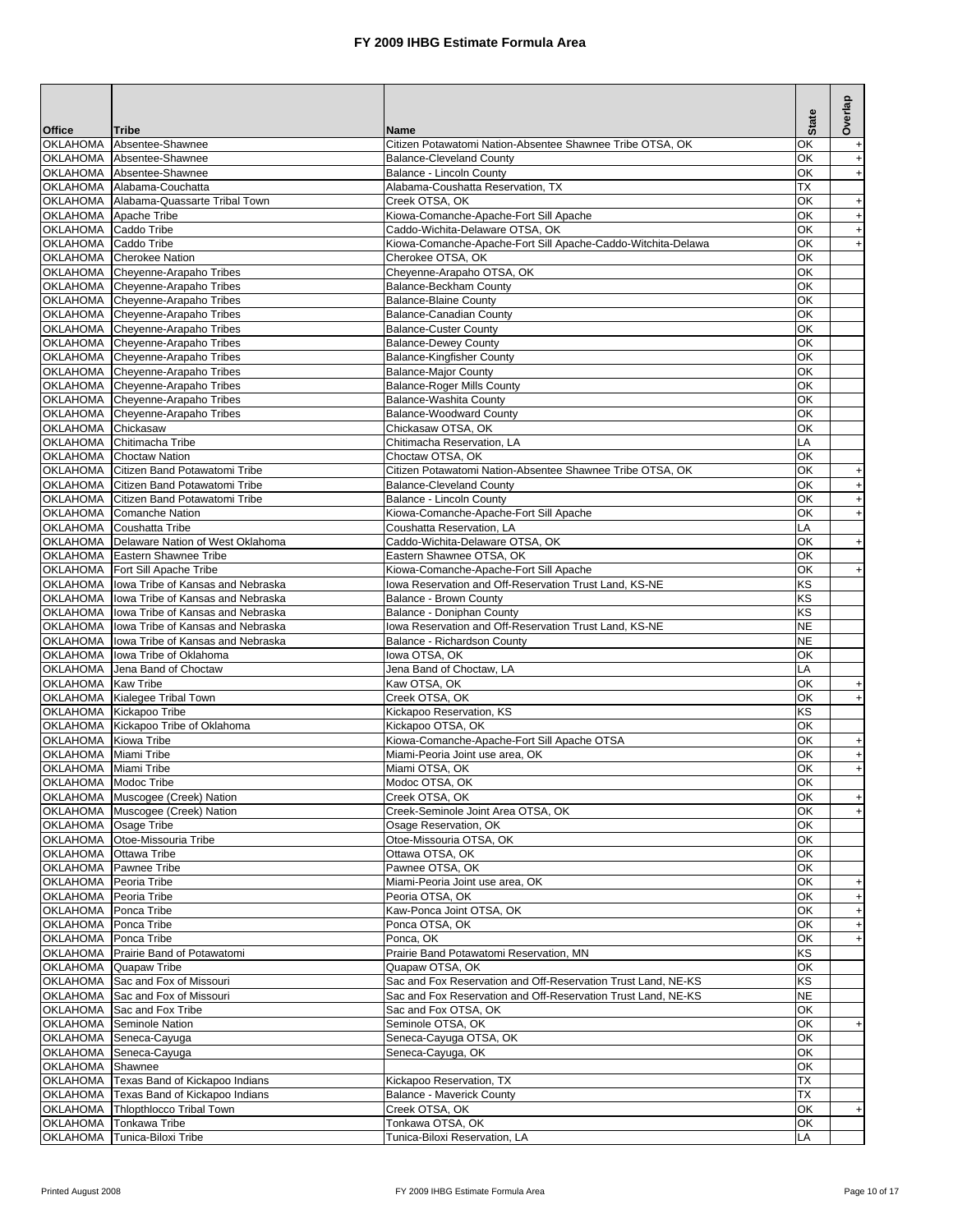|                                              |                                                                                          |                                                                                     | <b>State</b> | Overlap                                               |
|----------------------------------------------|------------------------------------------------------------------------------------------|-------------------------------------------------------------------------------------|--------------|-------------------------------------------------------|
| <b>Office</b>                                | <b>Tribe</b><br>OKLAHOMA Absentee-Shawnee                                                | <b>Name</b><br>Citizen Potawatomi Nation-Absentee Shawnee Tribe OTSA, OK            | ОΚ           | $\ddot{}$                                             |
|                                              | OKLAHOMA Absentee-Shawnee                                                                | <b>Balance-Cleveland County</b>                                                     | OK           | $\ddot{}$                                             |
|                                              | OKLAHOMA Absentee-Shawnee                                                                | Balance - Lincoln County                                                            | OK           | $\qquad \qquad +$                                     |
|                                              | OKLAHOMA Alabama-Couchatta                                                               | Alabama-Coushatta Reservation, TX                                                   | ТX           |                                                       |
| OKLAHOMA Apache Tribe                        | OKLAHOMA Alabama-Quassarte Tribal Town                                                   | Creek OTSA, OK<br>Kiowa-Comanche-Apache-Fort Sill Apache                            | OK<br>OK     | $\begin{array}{c} + \end{array}$<br>$\qquad \qquad +$ |
| OKLAHOMA Caddo Tribe                         |                                                                                          | Caddo-Wichita-Delaware OTSA, OK                                                     | OK           | $\begin{array}{c} + \end{array}$                      |
| OKLAHOMA                                     | Caddo Tribe                                                                              | Kiowa-Comanche-Apache-Fort Sill Apache-Caddo-Witchita-Delawa                        | ΟK           | $\begin{array}{c} + \end{array}$                      |
|                                              | OKLAHOMA Cherokee Nation                                                                 | Cherokee OTSA, OK                                                                   | ОK           |                                                       |
|                                              | OKLAHOMA Cheyenne-Arapaho Tribes                                                         | Cheyenne-Arapaho OTSA, OK                                                           | ОΚ           |                                                       |
|                                              | OKLAHOMA Cheyenne-Arapaho Tribes                                                         | Balance-Beckham County                                                              | ОK           |                                                       |
|                                              | OKLAHOMA Cheyenne-Arapaho Tribes<br>OKLAHOMA Cheyenne-Arapaho Tribes                     | <b>Balance-Blaine County</b><br>Balance-Canadian County                             | ОΚ<br>ОΚ     |                                                       |
|                                              | OKLAHOMA Cheyenne-Arapaho Tribes                                                         | <b>Balance-Custer County</b>                                                        | ОΚ           |                                                       |
|                                              | OKLAHOMA Cheyenne-Arapaho Tribes                                                         | <b>Balance-Dewey County</b>                                                         | ОΚ           |                                                       |
|                                              | OKLAHOMA Cheyenne-Arapaho Tribes                                                         | <b>Balance-Kingfisher County</b>                                                    | ОΚ           |                                                       |
|                                              | OKLAHOMA Cheyenne-Arapaho Tribes                                                         | <b>Balance-Major County</b>                                                         | OK           |                                                       |
|                                              | OKLAHOMA Cheyenne-Arapaho Tribes                                                         | <b>Balance-Roger Mills County</b>                                                   | ОΚ           |                                                       |
|                                              | OKLAHOMA Cheyenne-Arapaho Tribes<br>OKLAHOMA Cheyenne-Arapaho Tribes                     | Balance-Washita County<br><b>Balance-Woodward County</b>                            | OK<br>ОK     |                                                       |
| OKLAHOMA Chickasaw                           |                                                                                          | Chickasaw OTSA, OK                                                                  | ОK           |                                                       |
|                                              | OKLAHOMA Chitimacha Tribe                                                                | Chitimacha Reservation, LA                                                          | LA           |                                                       |
|                                              | OKLAHOMA Choctaw Nation                                                                  | Choctaw OTSA, OK                                                                    | OK           |                                                       |
|                                              | OKLAHOMA Citizen Band Potawatomi Tribe                                                   | Citizen Potawatomi Nation-Absentee Shawnee Tribe OTSA, OK                           | OK           | $\ddot{}$                                             |
|                                              | OKLAHOMA Citizen Band Potawatomi Tribe                                                   | <b>Balance-Cleveland County</b>                                                     | OK           | $\ddot{}$                                             |
|                                              | OKLAHOMA Citizen Band Potawatomi Tribe                                                   | Balance - Lincoln County                                                            | ΟK           | $\ddot{}$                                             |
|                                              | OKLAHOMA Comanche Nation<br>OKLAHOMA Coushatta Tribe                                     | Kiowa-Comanche-Apache-Fort Sill Apache<br>Coushatta Reservation, LA                 | OK<br>LA     | $\ddot{}$                                             |
|                                              | OKLAHOMA Delaware Nation of West Oklahoma                                                | Caddo-Wichita-Delaware OTSA, OK                                                     | OK           | $\begin{array}{c} + \end{array}$                      |
|                                              | OKLAHOMA Eastern Shawnee Tribe                                                           | Eastern Shawnee OTSA, OK                                                            | OK           |                                                       |
|                                              | OKLAHOMA Fort Sill Apache Tribe                                                          | Kiowa-Comanche-Apache-Fort Sill Apache                                              | OK           | $+$                                                   |
|                                              | OKLAHOMA lowa Tribe of Kansas and Nebraska                                               | Iowa Reservation and Off-Reservation Trust Land, KS-NE                              | ΚS           |                                                       |
|                                              | OKLAHOMA lowa Tribe of Kansas and Nebraska                                               | Balance - Brown County                                                              | ΚS           |                                                       |
|                                              | OKLAHOMA lowa Tribe of Kansas and Nebraska<br>OKLAHOMA lowa Tribe of Kansas and Nebraska | Balance - Doniphan County<br>lowa Reservation and Off-Reservation Trust Land, KS-NE | ΚS<br>NE     |                                                       |
|                                              | OKLAHOMA lowa Tribe of Kansas and Nebraska                                               | Balance - Richardson County                                                         | <b>NE</b>    |                                                       |
|                                              | OKLAHOMA   lowa Tribe of Oklahoma                                                        | lowa OTSA, OK                                                                       | ОК           |                                                       |
|                                              | OKLAHOMA Jena Band of Choctaw                                                            | Jena Band of Choctaw, LA                                                            | LA           |                                                       |
| OKLAHOMA Kaw Tribe                           |                                                                                          | Kaw OTSA, OK                                                                        | ОΚ           | $+$                                                   |
|                                              | OKLAHOMA Kialegee Tribal Town                                                            | Creek OTSA, OK                                                                      | ОK           | $\bf{+}$                                              |
|                                              | OKLAHOMA Kickapoo Tribe<br>OKLAHOMA Kickapoo Tribe of Oklahoma                           | Kickapoo Reservation, KS<br>Kickapoo OTSA, OK                                       | KS<br>OK     |                                                       |
| OKLAHOMA Kiowa Tribe                         |                                                                                          | Kiowa-Comanche-Apache-Fort Sill Apache OTSA                                         | ОΚ           | $\begin{array}{c} + \end{array}$                      |
| OKLAHOMA Miami Tribe                         |                                                                                          | Miami-Peoria Joint use area, OK                                                     | OK           | $\ddot{}$                                             |
| OKLAHOMA Miami Tribe                         |                                                                                          | Miami OTSA, OK                                                                      | ОК           | $\ddot{}$                                             |
| OKLAHOMA Modoc Tribe                         |                                                                                          | Modoc OTSA, OK                                                                      | OK           |                                                       |
|                                              | OKLAHOMA Muscogee (Creek) Nation                                                         | Creek OTSA, OK                                                                      | ОK           | $+$                                                   |
|                                              | OKLAHOMA Muscogee (Creek) Nation                                                         | Creek-Seminole Joint Area OTSA, OK                                                  | ОΚ           |                                                       |
| OKLAHOMA Osage Tribe                         | OKLAHOMA Otoe-Missouria Tribe                                                            | Osage Reservation, OK<br>Otoe-Missouria OTSA, OK                                    | ОК<br>ОК     |                                                       |
| OKLAHOMA                                     | Ottawa Tribe                                                                             | Ottawa OTSA, OK                                                                     | ОК           |                                                       |
| OKLAHOMA Pawnee Tribe                        |                                                                                          | Pawnee OTSA, OK                                                                     | ОК           |                                                       |
| OKLAHOMA Peoria Tribe                        |                                                                                          | Miami-Peoria Joint use area, OK                                                     | OK           | $\ddot{}$                                             |
| OKLAHOMA Peoria Tribe                        |                                                                                          | Peoria OTSA, OK                                                                     | ОК           | $\ddot{}$                                             |
| OKLAHOMA Ponca Tribe<br>OKLAHOMA Ponca Tribe |                                                                                          | Kaw-Ponca Joint OTSA, OK<br>Ponca OTSA, OK                                          | ОК<br>ОК     | $+$                                                   |
| OKLAHOMA Ponca Tribe                         |                                                                                          | Ponca, OK                                                                           | ОΚ           | $+$<br>$+$                                            |
|                                              | OKLAHOMA Prairie Band of Potawatomi                                                      | Prairie Band Potawatomi Reservation, MN                                             | ΚS           |                                                       |
| OKLAHOMA Quapaw Tribe                        |                                                                                          | Quapaw OTSA, OK                                                                     | ОК           |                                                       |
|                                              | OKLAHOMA Sac and Fox of Missouri                                                         | Sac and Fox Reservation and Off-Reservation Trust Land, NE-KS                       | ΚS           |                                                       |
| <b>OKLAHOMA</b>                              | Sac and Fox of Missouri                                                                  | Sac and Fox Reservation and Off-Reservation Trust Land, NE-KS                       | NE           |                                                       |
| OKLAHOMA                                     | Sac and Fox Tribe<br>OKLAHOMA Seminole Nation                                            | Sac and Fox OTSA, OK<br>Seminole OTSA, OK                                           | OK<br>ОΚ     |                                                       |
|                                              | OKLAHOMA Seneca-Cayuga                                                                   | Seneca-Cayuga OTSA, OK                                                              | ОΚ           | $+$                                                   |
|                                              | OKLAHOMA Seneca-Cayuga                                                                   | Seneca-Cayuga, OK                                                                   | ОΚ           |                                                       |
| OKLAHOMA Shawnee                             |                                                                                          |                                                                                     | ОΚ           |                                                       |
|                                              | OKLAHOMA Texas Band of Kickapoo Indians                                                  | Kickapoo Reservation, TX                                                            | ТX           |                                                       |
|                                              | OKLAHOMA Texas Band of Kickapoo Indians                                                  | <b>Balance - Maverick County</b>                                                    | ТX           |                                                       |
| OKLAHOMA<br><b>OKLAHOMA</b>                  | Thlopthlocco Tribal Town<br>Tonkawa Tribe                                                | Creek OTSA, OK<br>Tonkawa OTSA, OK                                                  | ОК           | $\boldsymbol{+}$                                      |
| OKLAHOMA                                     | Tunica-Biloxi Tribe                                                                      | Tunica-Biloxi Reservation, LA                                                       | OK<br>LA     |                                                       |
|                                              |                                                                                          |                                                                                     |              |                                                       |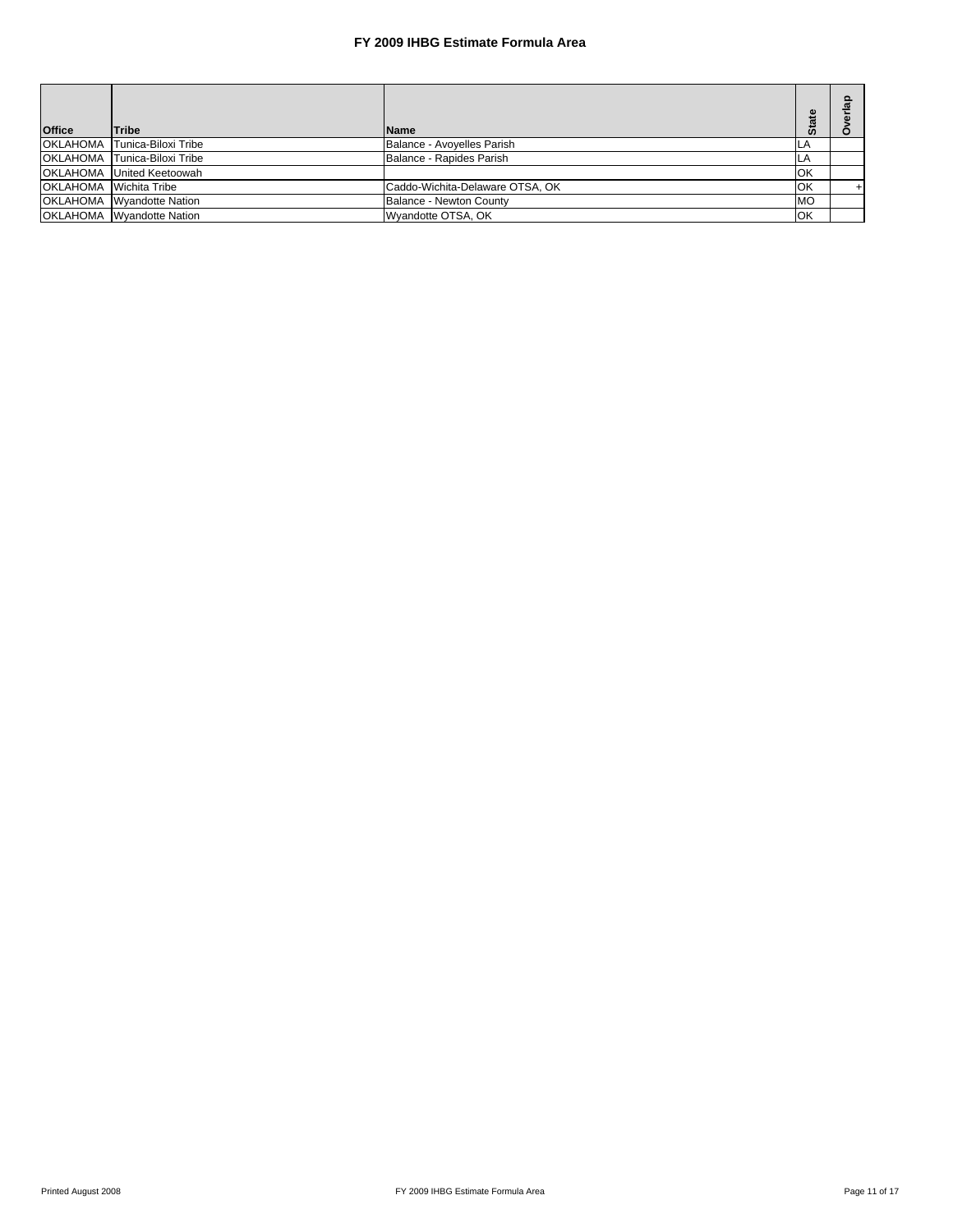| <b>Office</b>                  | Tribe                            | <b>Name</b>                     | <b>State</b> |  |
|--------------------------------|----------------------------------|---------------------------------|--------------|--|
| <b>OKLAHOMA</b>                | Tunica-Biloxi Tribe              | Balance - Avoyelles Parish      | LA           |  |
| <b>OKLAHOMA</b>                | Tunica-Biloxi Tribe              | Balance - Rapides Parish        | ILA.         |  |
|                                | <b>OKLAHOMA</b> United Keetoowah |                                 | OK           |  |
| <b>IOKLAHOMA</b> Wichita Tribe |                                  | Caddo-Wichita-Delaware OTSA, OK | OK           |  |
|                                | <b>OKLAHOMA</b> Wvandotte Nation | Balance - Newton County         | <b>MO</b>    |  |
|                                | <b>OKLAHOMA</b> Wvandotte Nation | Wyandotte OTSA, OK              | OK           |  |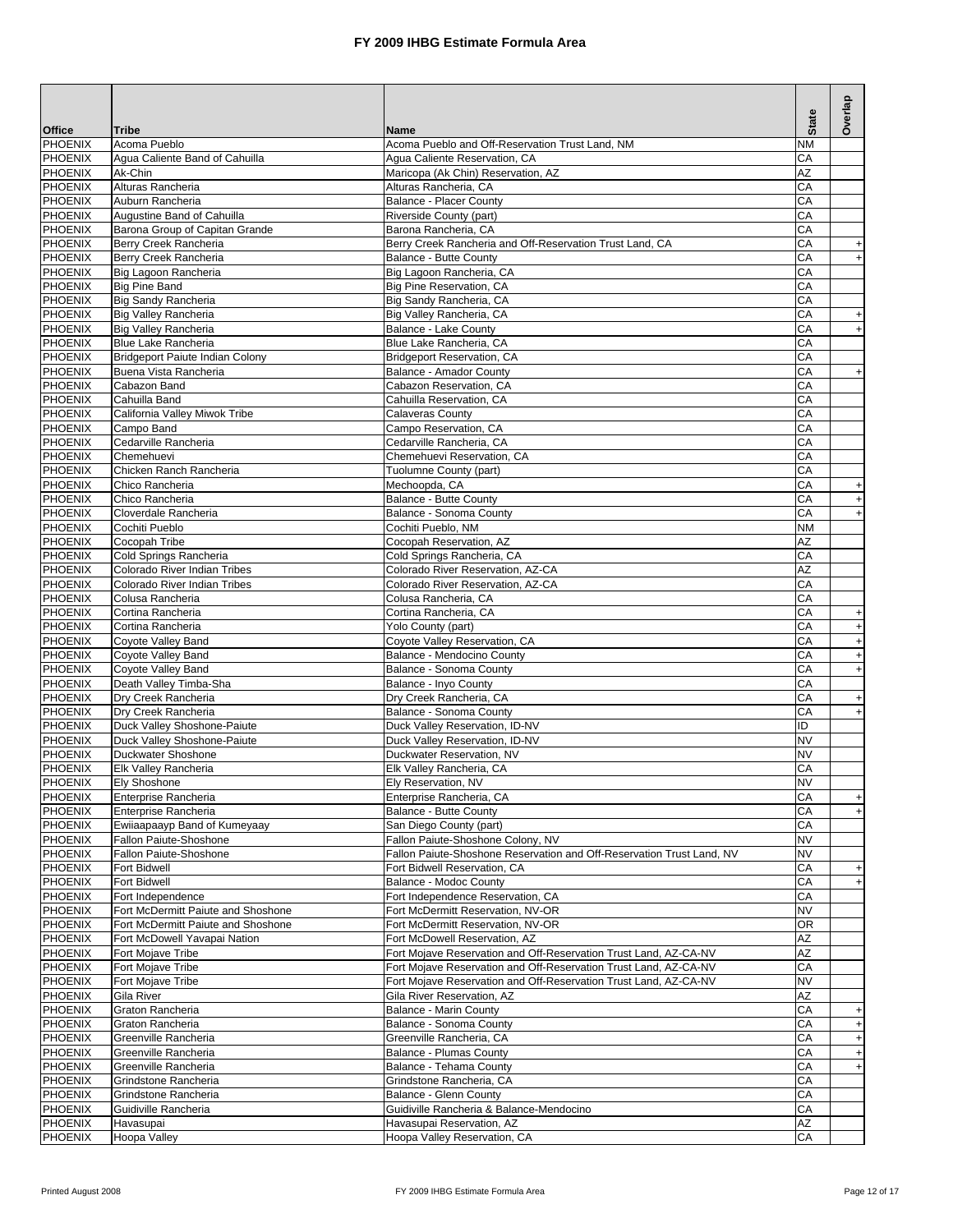|                                  |                                                     |                                                                                                                                      | <b>State</b> | Overlap                                                              |
|----------------------------------|-----------------------------------------------------|--------------------------------------------------------------------------------------------------------------------------------------|--------------|----------------------------------------------------------------------|
| <b>Office</b>                    | Tribe                                               | <b>Name</b>                                                                                                                          |              |                                                                      |
| <b>PHOENIX</b>                   | Acoma Pueblo                                        | Acoma Pueblo and Off-Reservation Trust Land, NM                                                                                      | <b>NM</b>    |                                                                      |
| <b>PHOENIX</b><br>PHOENIX        | Agua Caliente Band of Cahuilla<br>Ak-Chin           | Agua Caliente Reservation, CA<br>Maricopa (Ak Chin) Reservation, AZ                                                                  | CA<br>AZ     |                                                                      |
| <b>PHOENIX</b>                   | Alturas Rancheria                                   | Alturas Rancheria, CA                                                                                                                | CA           |                                                                      |
| PHOENIX                          | Auburn Rancheria                                    | <b>Balance - Placer County</b>                                                                                                       | CA           |                                                                      |
| PHOENIX                          | Augustine Band of Cahuilla                          | Riverside County (part)                                                                                                              | CA           |                                                                      |
| PHOENIX                          | Barona Group of Capitan Grande                      | Barona Rancheria, CA                                                                                                                 | СA           |                                                                      |
| PHOENIX                          | Berry Creek Rancheria                               | Berry Creek Rancheria and Off-Reservation Trust Land, CA                                                                             | CA           | $+$                                                                  |
| <b>PHOENIX</b>                   | Berry Creek Rancheria                               | Balance - Butte County                                                                                                               | CA           | $\bf{+}$                                                             |
| <b>PHOENIX</b>                   | Big Lagoon Rancheria                                | Big Lagoon Rancheria, CA                                                                                                             | СA           |                                                                      |
| <b>PHOENIX</b>                   | <b>Big Pine Band</b>                                | Big Pine Reservation, CA                                                                                                             | CA           |                                                                      |
| <b>PHOENIX</b>                   | <b>Big Sandy Rancheria</b>                          | Big Sandy Rancheria, CA                                                                                                              | СA           |                                                                      |
| <b>PHOENIX</b><br>PHOENIX        | Big Valley Rancheria<br><b>Big Valley Rancheria</b> | Big Valley Rancheria, CA<br>Balance - Lake County                                                                                    | CA<br>СA     | $\qquad \qquad +$<br>$\ddot{}$                                       |
| <b>PHOENIX</b>                   | <b>Blue Lake Rancheria</b>                          | Blue Lake Rancheria, CA                                                                                                              | CA           |                                                                      |
| PHOENIX                          | Bridgeport Paiute Indian Colony                     | Bridgeport Reservation, CA                                                                                                           | СA           |                                                                      |
| <b>PHOENIX</b>                   | Buena Vista Rancheria                               | Balance - Amador County                                                                                                              | CA           | $\begin{array}{c} + \end{array}$                                     |
| PHOENIX                          | Cabazon Band                                        | Cabazon Reservation, CA                                                                                                              | CA           |                                                                      |
| <b>PHOENIX</b>                   | Cahuilla Band                                       | Cahuilla Reservation, CA                                                                                                             | CA           |                                                                      |
| PHOENIX                          | California Valley Miwok Tribe                       | <b>Calaveras County</b>                                                                                                              | CA           |                                                                      |
| <b>PHOENIX</b>                   | Campo Band                                          | Campo Reservation, CA                                                                                                                | CA           |                                                                      |
| PHOENIX                          | Cedarville Rancheria                                | Cedarville Rancheria, CA                                                                                                             | CA           |                                                                      |
| <b>PHOENIX</b>                   | Chemehuevi                                          | Chemehuevi Reservation, CA                                                                                                           | CA           |                                                                      |
| <b>PHOENIX</b>                   | Chicken Ranch Rancheria<br>Chico Rancheria          | Tuolumne County (part)                                                                                                               | CA           |                                                                      |
| <b>PHOENIX</b><br><b>PHOENIX</b> | Chico Rancheria                                     | Mechoopda, CA<br>Balance - Butte County                                                                                              | CA<br>CA     | $\begin{array}{c} + \end{array}$                                     |
| <b>PHOENIX</b>                   | Cloverdale Rancheria                                | Balance - Sonoma County                                                                                                              | СA           | $\begin{array}{c} + \end{array}$<br>$\begin{array}{c} + \end{array}$ |
| PHOENIX                          | Cochiti Pueblo                                      | Cochiti Pueblo, NM                                                                                                                   | <b>NM</b>    |                                                                      |
| <b>PHOENIX</b>                   | Cocopah Tribe                                       | Cocopah Reservation, AZ                                                                                                              | AZ           |                                                                      |
| PHOENIX                          | Cold Springs Rancheria                              | Cold Springs Rancheria, CA                                                                                                           | CA           |                                                                      |
| PHOENIX                          | Colorado River Indian Tribes                        | Colorado River Reservation, AZ-CA                                                                                                    | AZ           |                                                                      |
| PHOENIX                          | Colorado River Indian Tribes                        | Colorado River Reservation, AZ-CA                                                                                                    | CA           |                                                                      |
| <b>PHOENIX</b>                   | Colusa Rancheria                                    | Colusa Rancheria, CA                                                                                                                 | CA           |                                                                      |
| <b>PHOENIX</b>                   | Cortina Rancheria                                   | Cortina Rancheria, CA                                                                                                                | CA           | $+$                                                                  |
| <b>PHOENIX</b>                   | Cortina Rancheria                                   | Yolo County (part)                                                                                                                   | СA           | $\bf{+}$                                                             |
| <b>PHOENIX</b><br>PHOENIX        | Coyote Valley Band<br>Coyote Valley Band            | Coyote Valley Reservation, CA<br>Balance - Mendocino County                                                                          | CA<br>СA     | $\ddot{}$<br>$\ddot{}$                                               |
| <b>PHOENIX</b>                   | Coyote Valley Band                                  | Balance - Sonoma County                                                                                                              | CA           | $\ddot{}$                                                            |
| PHOENIX                          | Death Valley Timba-Sha                              | Balance - Inyo County                                                                                                                | СA           |                                                                      |
| <b>PHOENIX</b>                   | Dry Creek Rancheria                                 | Dry Creek Rancheria, CA                                                                                                              | СA           | $\qquad \qquad +$                                                    |
| PHOENIX                          | Dry Creek Rancheria                                 | Balance - Sonoma County                                                                                                              | СA           | $\begin{array}{c} + \end{array}$                                     |
| <b>PHOENIX</b>                   | Duck Valley Shoshone-Paiute                         | Duck Valley Reservation, ID-NV                                                                                                       | ID           |                                                                      |
| PHOENIX                          | Duck Valley Shoshone-Paiute                         | Duck Valley Reservation, ID-NV                                                                                                       | <b>NV</b>    |                                                                      |
| <b>PHOENIX</b>                   | Duckwater Shoshone                                  | Duckwater Reservation, NV                                                                                                            | <b>NV</b>    |                                                                      |
| <b>PHOENIX</b>                   | Elk Valley Rancheria                                | Elk Valley Rancheria, CA                                                                                                             | CA           |                                                                      |
| <b>PHOENIX</b>                   | Ely Shoshone                                        | Ely Reservation, NV                                                                                                                  | <b>NV</b>    |                                                                      |
| PHOENIX<br>PHOENIX               | Enterprise Rancheria<br>Enterprise Rancheria        | Enterprise Rancheria, CA<br>Balance - Butte County                                                                                   | CA<br>СA     | $+$                                                                  |
| PHOENIX                          | Ewiiaapaayp Band of Kumeyaay                        | San Diego County (part)                                                                                                              | СA           | $\ddot{}$                                                            |
| <b>PHOENIX</b>                   | Fallon Paiute-Shoshone                              | Fallon Paiute-Shoshone Colony, NV                                                                                                    | <b>NV</b>    |                                                                      |
| PHOENIX                          | Fallon Paiute-Shoshone                              | Fallon Paiute-Shoshone Reservation and Off-Reservation Trust Land, NV                                                                | NV           |                                                                      |
| PHOENIX                          | Fort Bidwell                                        | Fort Bidwell Reservation, CA                                                                                                         | СA           | $+$                                                                  |
| PHOENIX                          | Fort Bidwell                                        | Balance - Modoc County                                                                                                               | СA           | $+$                                                                  |
| PHOENIX                          | Fort Independence                                   | Fort Independence Reservation, CA                                                                                                    | СA           |                                                                      |
| <b>PHOENIX</b>                   | Fort McDermitt Paiute and Shoshone                  | Fort McDermitt Reservation, NV-OR                                                                                                    | <b>NV</b>    |                                                                      |
| PHOENIX                          | Fort McDermitt Paiute and Shoshone                  | Fort McDermitt Reservation, NV-OR                                                                                                    | OR           |                                                                      |
| PHOENIX                          | Fort McDowell Yavapai Nation                        | Fort McDowell Reservation, AZ                                                                                                        | AZ           |                                                                      |
| PHOENIX                          | Fort Mojave Tribe                                   | Fort Mojave Reservation and Off-Reservation Trust Land, AZ-CA-NV                                                                     | AZ           |                                                                      |
| PHOENIX<br>PHOENIX               | Fort Mojave Tribe<br>Fort Mojave Tribe              | Fort Mojave Reservation and Off-Reservation Trust Land, AZ-CA-NV<br>Fort Mojave Reservation and Off-Reservation Trust Land, AZ-CA-NV | CA<br>NV     |                                                                      |
| PHOENIX                          | Gila River                                          | Gila River Reservation, AZ                                                                                                           | AZ           |                                                                      |
| PHOENIX                          | Graton Rancheria                                    | Balance - Marin County                                                                                                               | СA           | $\begin{array}{c} + \end{array}$                                     |
| <b>PHOENIX</b>                   | Graton Rancheria                                    | Balance - Sonoma County                                                                                                              | СA           | $\qquad \qquad +$                                                    |
| PHOENIX                          | Greenville Rancheria                                | Greenville Rancheria, CA                                                                                                             | СA           | $+$                                                                  |
| <b>PHOENIX</b>                   | Greenville Rancheria                                | Balance - Plumas County                                                                                                              | СA           | $\begin{array}{c} + \end{array}$                                     |
| PHOENIX                          | Greenville Rancheria                                | Balance - Tehama County                                                                                                              | CА           | $+$                                                                  |
| <b>PHOENIX</b>                   | Grindstone Rancheria                                | Grindstone Rancheria, CA                                                                                                             | СA           |                                                                      |
| <b>PHOENIX</b>                   | Grindstone Rancheria                                | Balance - Glenn County                                                                                                               | СA           |                                                                      |
| <b>PHOENIX</b>                   | Guidiville Rancheria                                | Guidiville Rancheria & Balance-Mendocino                                                                                             | СA           |                                                                      |
| PHOENIX<br>PHOENIX               | Havasupai<br><b>Hoopa Valley</b>                    | Havasupai Reservation, AZ<br>Hoopa Valley Reservation, CA                                                                            | ΑZ<br>СA     |                                                                      |
|                                  |                                                     |                                                                                                                                      |              |                                                                      |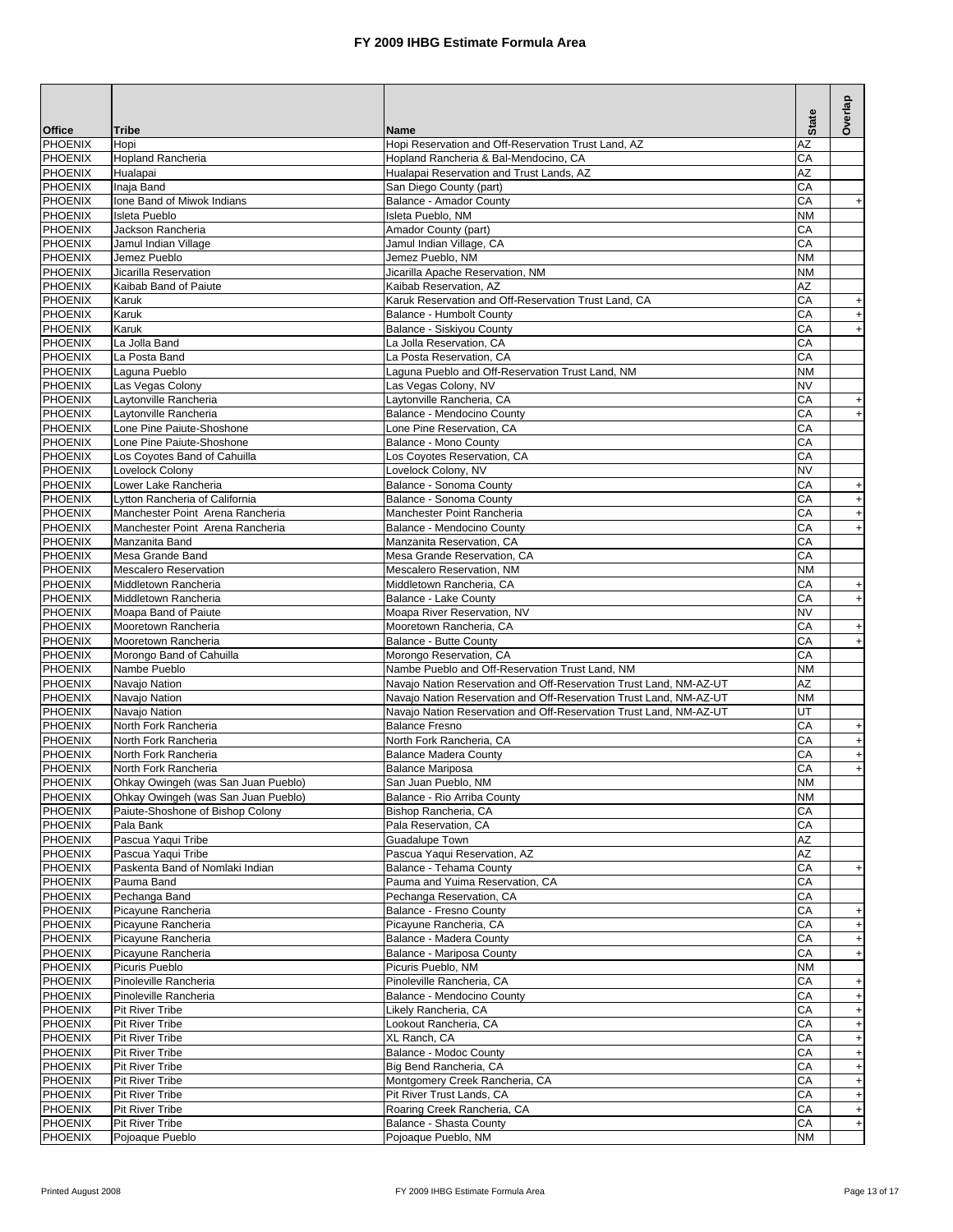| <b>Office</b>                    | <b>Tribe</b>                                                         | <b>Name</b>                                                                                                                              | <b>State</b>    | Overlap                                       |
|----------------------------------|----------------------------------------------------------------------|------------------------------------------------------------------------------------------------------------------------------------------|-----------------|-----------------------------------------------|
| PHOENIX                          | Hopi                                                                 | Hopi Reservation and Off-Reservation Trust Land, AZ                                                                                      | AZ              |                                               |
| <b>PHOENIX</b>                   | <b>Hopland Rancheria</b>                                             | Hopland Rancheria & Bal-Mendocino, CA                                                                                                    | CA              |                                               |
| <b>PHOENIX</b><br><b>PHOENIX</b> | Hualapai<br>Inaja Band                                               | Hualapai Reservation and Trust Lands, AZ<br>San Diego County (part)                                                                      | AZ<br>CA        |                                               |
| <b>PHOENIX</b>                   | Ione Band of Miwok Indians                                           | Balance - Amador County                                                                                                                  | CA              | $+$                                           |
| <b>PHOENIX</b>                   | <b>Isleta Pueblo</b>                                                 | Isleta Pueblo, NM                                                                                                                        | <b>NM</b>       |                                               |
| <b>PHOENIX</b>                   | Jackson Rancheria                                                    | Amador County (part)                                                                                                                     | CA              |                                               |
| <b>PHOENIX</b><br><b>PHOENIX</b> | Jamul Indian Village<br>Jemez Pueblo                                 | Jamul Indian Village, CA<br>Jemez Pueblo, NM                                                                                             | СA<br><b>NM</b> |                                               |
| <b>PHOENIX</b>                   | Jicarilla Reservation                                                | Jicarilla Apache Reservation, NM                                                                                                         | <b>NM</b>       |                                               |
| PHOENIX                          | Kaibab Band of Paiute                                                | Kaibab Reservation, AZ                                                                                                                   | AZ              |                                               |
| <b>PHOENIX</b>                   | Karuk                                                                | Karuk Reservation and Off-Reservation Trust Land, CA                                                                                     | CA              | $\begin{array}{c} + \end{array}$              |
| PHOENIX                          | Karuk                                                                | Balance - Humbolt County                                                                                                                 | CА              | $+$                                           |
| PHOENIX<br>PHOENIX               | Karuk<br>La Jolla Band                                               | Balance - Siskiyou County<br>La Jolla Reservation, CA                                                                                    | СA<br>CA        | $+$                                           |
| PHOENIX                          | La Posta Band                                                        | La Posta Reservation, CA                                                                                                                 | СA              |                                               |
| <b>PHOENIX</b>                   | Laguna Pueblo                                                        | Laguna Pueblo and Off-Reservation Trust Land, NM                                                                                         | <b>NM</b>       |                                               |
| <b>PHOENIX</b>                   | Las Vegas Colony                                                     | Las Vegas Colony, NV                                                                                                                     | <b>NV</b>       |                                               |
| <b>PHOENIX</b>                   | Laytonville Rancheria                                                | Laytonville Rancheria, CA                                                                                                                | CA              | $\begin{array}{c} + \end{array}$              |
| PHOENIX<br><b>PHOENIX</b>        | Lavtonville Rancheria<br>Lone Pine Paiute-Shoshone                   | Balance - Mendocino County<br>Lone Pine Reservation, CA                                                                                  | СA<br>CA        | $\ddot{}$                                     |
| PHOENIX                          | Lone Pine Paiute-Shoshone                                            | <b>Balance - Mono County</b>                                                                                                             | СA              |                                               |
| <b>PHOENIX</b>                   | Los Coyotes Band of Cahuilla                                         | Los Coyotes Reservation, CA                                                                                                              | CA              |                                               |
| <b>PHOENIX</b>                   | Lovelock Colony                                                      | Lovelock Colony, NV                                                                                                                      | <b>NV</b>       |                                               |
| <b>PHOENIX</b>                   | Lower Lake Rancheria                                                 | Balance - Sonoma County                                                                                                                  | CA              | $\ddot{}$                                     |
| <b>PHOENIX</b>                   | Lytton Rancheria of California                                       | Balance - Sonoma County                                                                                                                  | СA              | $\ddot{}$                                     |
| <b>PHOENIX</b><br><b>PHOENIX</b> | Manchester Point Arena Rancheria<br>Manchester Point Arena Rancheria | Manchester Point Rancheria<br>Balance - Mendocino County                                                                                 | СA<br>CA        | $\ddot{}$<br>$\begin{array}{c} + \end{array}$ |
| <b>PHOENIX</b>                   | Manzanita Band                                                       | Manzanita Reservation, CA                                                                                                                | CA              |                                               |
| <b>PHOENIX</b>                   | Mesa Grande Band                                                     | Mesa Grande Reservation, CA                                                                                                              | CA              |                                               |
| <b>PHOENIX</b>                   | <b>Mescalero Reservation</b>                                         | Mescalero Reservation, NM                                                                                                                | <b>NM</b>       |                                               |
| <b>PHOENIX</b>                   | Middletown Rancheria                                                 | Middletown Rancheria, CA                                                                                                                 | CA              | $+$                                           |
| <b>PHOENIX</b><br>PHOENIX        | Middletown Rancheria<br>Moapa Band of Paiute                         | Balance - Lake County<br>Moapa River Reservation, NV                                                                                     | СA<br>NV        | $+$                                           |
| PHOENIX                          | Mooretown Rancheria                                                  | Mooretown Rancheria, CA                                                                                                                  | CА              | $+$                                           |
| PHOENIX                          | Mooretown Rancheria                                                  | Balance - Butte County                                                                                                                   | CA              | $\ddot{}$                                     |
| PHOENIX                          | Morongo Band of Cahuilla                                             | Morongo Reservation, CA                                                                                                                  | СA              |                                               |
| PHOENIX                          | Nambe Pueblo                                                         | Nambe Pueblo and Off-Reservation Trust Land, NM                                                                                          | ΝM              |                                               |
| <b>PHOENIX</b><br><b>PHOENIX</b> | Navajo Nation<br>Navajo Nation                                       | Navajo Nation Reservation and Off-Reservation Trust Land, NM-AZ-UT<br>Navajo Nation Reservation and Off-Reservation Trust Land, NM-AZ-UT | AZ<br><b>NM</b> |                                               |
| <b>PHOENIX</b>                   | Navajo Nation                                                        | Navajo Nation Reservation and Off-Reservation Trust Land, NM-AZ-UT                                                                       | UT              |                                               |
| <b>PHOENIX</b>                   | North Fork Rancheria                                                 | <b>Balance Fresno</b>                                                                                                                    | CA              | $\begin{array}{c} + \end{array}$              |
| <b>PHOENIX</b>                   | North Fork Rancheria                                                 | North Fork Rancheria, CA                                                                                                                 | СA              | $\ddot{}$                                     |
| <b>PHOENIX</b>                   | North Fork Rancheria                                                 | <b>Balance Madera County</b>                                                                                                             | СA              | $\begin{array}{c} + \end{array}$              |
| <b>PHOENIX</b><br>PHOENIX        | North Fork Rancheria<br>Ohkay Owingeh (was San Juan Pueblo)          | <b>Balance Mariposa</b><br>San Juan Pueblo, NM                                                                                           | СA<br><b>NM</b> | $\ddot{}$                                     |
| <b>PHOENIX</b>                   | Ohkay Owingeh (was San Juan Pueblo)                                  | Balance - Rio Arriba County                                                                                                              | ΝM              |                                               |
| PHOENIX                          | Paiute-Shoshone of Bishop Colony                                     | Bishop Rancheria, CA                                                                                                                     | СA              |                                               |
| PHOENIX                          | Pala Bank                                                            | Pala Reservation, CA                                                                                                                     | СA              |                                               |
| <b>PHOENIX</b>                   | Pascua Yaqui Tribe                                                   | Guadalupe Town                                                                                                                           | AZ              |                                               |
| PHOENIX<br><b>PHOENIX</b>        | Pascua Yaqui Tribe<br>Paskenta Band of Nomlaki Indian                | Pascua Yaqui Reservation, AZ<br>Balance - Tehama County                                                                                  | AZ<br>CA        | $\ddot{}$                                     |
| <b>PHOENIX</b>                   | Pauma Band                                                           | Pauma and Yuima Reservation, CA                                                                                                          | CA              |                                               |
| <b>PHOENIX</b>                   | Pechanga Band                                                        | Pechanga Reservation, CA                                                                                                                 | CA              |                                               |
| PHOENIX                          | Picayune Rancheria                                                   | Balance - Fresno County                                                                                                                  | СA              | $+$                                           |
| <b>PHOENIX</b>                   | Picayune Rancheria                                                   | Picayune Rancheria, CA                                                                                                                   | СA              | $+$                                           |
| PHOENIX<br><b>PHOENIX</b>        | Picayune Rancheria<br>Picayune Rancheria                             | Balance - Madera County<br>Balance - Mariposa County                                                                                     | СA<br>СA        | $+$<br>$+$                                    |
| PHOENIX                          | Picuris Pueblo                                                       | Picuris Pueblo, NM                                                                                                                       | ΝM              |                                               |
| PHOENIX                          | Pinoleville Rancheria                                                | Pinoleville Rancheria, CA                                                                                                                | СA              | $+$                                           |
| PHOENIX                          | Pinoleville Rancheria                                                | Balance - Mendocino County                                                                                                               | CA              | $+$                                           |
| PHOENIX                          | <b>Pit River Tribe</b>                                               | Likely Rancheria, CA                                                                                                                     | СA              | $+$                                           |
| PHOENIX                          | <b>Pit River Tribe</b>                                               | Lookout Rancheria, CA                                                                                                                    | СA              | $+$                                           |
| PHOENIX<br><b>PHOENIX</b>        | <b>Pit River Tribe</b><br><b>Pit River Tribe</b>                     | XL Ranch, CA<br>Balance - Modoc County                                                                                                   | СA<br>СA        | $+$<br>$+$                                    |
| PHOENIX                          | <b>Pit River Tribe</b>                                               | Big Bend Rancheria, CA                                                                                                                   | СA              | $+$                                           |
| PHOENIX                          | <b>Pit River Tribe</b>                                               | Montgomery Creek Rancheria, CA                                                                                                           | СA              | $+$                                           |
| <b>PHOENIX</b>                   | <b>Pit River Tribe</b>                                               | Pit River Trust Lands, CA                                                                                                                | СA              | $\pmb{+}$                                     |
| PHOENIX<br>PHOENIX               | <b>Pit River Tribe</b><br><b>Pit River Tribe</b>                     | Roaring Creek Rancheria, CA<br>Balance - Shasta County                                                                                   | СA<br>СA        | $\boldsymbol{+}$                              |
| PHOENIX                          | Pojoaque Pueblo                                                      | Pojoaque Pueblo, NM                                                                                                                      | ΝM              | $+$                                           |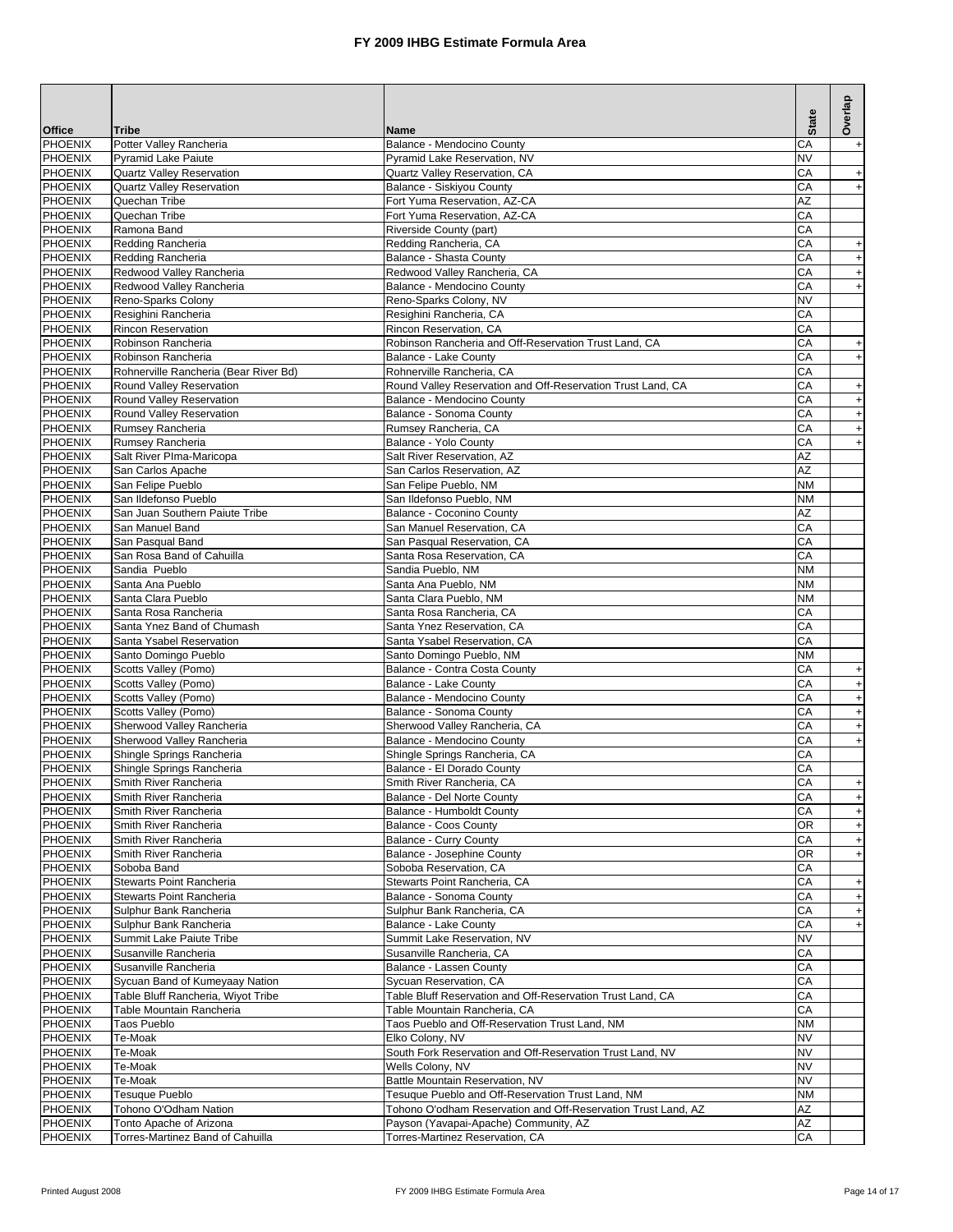|                                  |                                                                |                                                                                            | <b>State</b>           | Overlap                          |
|----------------------------------|----------------------------------------------------------------|--------------------------------------------------------------------------------------------|------------------------|----------------------------------|
| <b>Office</b>                    | <b>Tribe</b>                                                   | Name                                                                                       |                        |                                  |
| PHOENIX<br>PHOENIX               | Potter Valley Rancheria                                        | Balance - Mendocino County                                                                 | CА                     | $\begin{array}{c} + \end{array}$ |
| PHOENIX                          | <b>Pyramid Lake Paiute</b><br><b>Quartz Valley Reservation</b> | Pyramid Lake Reservation, NV<br>Quartz Vallev Reservation, CA                              | <b>NV</b><br>CA        | $+$                              |
| <b>PHOENIX</b>                   | <b>Quartz Valley Reservation</b>                               | Balance - Siskiyou County                                                                  | CA                     | $+$                              |
| PHOENIX                          | Quechan Tribe                                                  | Fort Yuma Reservation, AZ-CA                                                               | AZ                     |                                  |
| PHOENIX                          | Quechan Tribe                                                  | Fort Yuma Reservation, AZ-CA                                                               | CA                     |                                  |
| PHOENIX                          | Ramona Band                                                    | Riverside County (part)                                                                    | CA                     |                                  |
| <b>PHOENIX</b>                   | Redding Rancheria                                              | Redding Rancheria, CA                                                                      | CA                     | $\ddot{}$                        |
| <b>PHOENIX</b>                   | Redding Rancheria                                              | Balance - Shasta County                                                                    | CА                     | $+$                              |
| <b>PHOENIX</b>                   | Redwood Valley Rancheria                                       | Redwood Valley Rancheria, CA                                                               | CА                     | $+$                              |
| <b>PHOENIX</b><br><b>PHOENIX</b> | Redwood Valley Rancheria<br>Reno-Sparks Colony                 | Balance - Mendocino County<br>Reno-Sparks Colony, NV                                       | СA<br>NV               | $+$                              |
| PHOENIX                          | Resighini Rancheria                                            | Resighini Rancheria, CA                                                                    | CA                     |                                  |
| PHOENIX                          | Rincon Reservation                                             | Rincon Reservation, CA                                                                     | СA                     |                                  |
| <b>PHOENIX</b>                   | Robinson Rancheria                                             | Robinson Rancheria and Off-Reservation Trust Land, CA                                      | СA                     | $\begin{array}{c} + \end{array}$ |
| <b>PHOENIX</b>                   | Robinson Rancheria                                             | Balance - Lake County                                                                      | CА                     | $\qquad \qquad +$                |
| <b>PHOENIX</b>                   | Rohnerville Rancheria (Bear River Bd)                          | Rohnerville Rancheria, CA                                                                  | CA                     |                                  |
| <b>PHOENIX</b>                   | Round Valley Reservation                                       | Round Valley Reservation and Off-Reservation Trust Land, CA                                | СA                     | $\ddot{}$                        |
| <b>PHOENIX</b>                   | Round Valley Reservation                                       | Balance - Mendocino County                                                                 | СA                     | $\qquad \qquad +$                |
| PHOENIX<br>PHOENIX               | Round Valley Reservation                                       | Balance - Sonoma County                                                                    | СA                     | $\ddot{}$                        |
| PHOENIX                          | Rumsey Rancheria<br>Rumsey Rancheria                           | Rumsey Rancheria, CA<br>Balance - Yolo County                                              | CA<br>СA               | $\ddot{}$<br>$\ddot{}$           |
| <b>PHOENIX</b>                   | Salt River Plma-Maricopa                                       | Salt River Reservation, AZ                                                                 | AZ                     |                                  |
| PHOENIX                          | San Carlos Apache                                              | San Carlos Reservation, AZ                                                                 | AZ                     |                                  |
| <b>PHOENIX</b>                   | San Felipe Pueblo                                              | San Felipe Pueblo, NM                                                                      | <b>NM</b>              |                                  |
| PHOENIX                          | San Ildefonso Pueblo                                           | San Ildefonso Pueblo, NM                                                                   | <b>NM</b>              |                                  |
| <b>PHOENIX</b>                   | San Juan Southern Paiute Tribe                                 | Balance - Coconino County                                                                  | AZ                     |                                  |
| <b>PHOENIX</b>                   | San Manuel Band                                                | San Manuel Reservation, CA                                                                 | CA                     |                                  |
| <b>PHOENIX</b>                   | San Pasqual Band                                               | San Pasqual Reservation, CA                                                                | CA                     |                                  |
| PHOENIX                          | San Rosa Band of Cahuilla                                      | Santa Rosa Reservation, CA                                                                 | СA                     |                                  |
| <b>PHOENIX</b><br>PHOENIX        | Sandia Pueblo<br>Santa Ana Pueblo                              | Sandia Pueblo, NM<br>Santa Ana Pueblo, NM                                                  | <b>NM</b><br><b>NM</b> |                                  |
| <b>PHOENIX</b>                   | Santa Clara Pueblo                                             | Santa Clara Pueblo, NM                                                                     | ΝM                     |                                  |
| <b>PHOENIX</b>                   | Santa Rosa Rancheria                                           | Santa Rosa Rancheria, CA                                                                   | СA                     |                                  |
| <b>PHOENIX</b>                   | Santa Ynez Band of Chumash                                     | Santa Ynez Reservation, CA                                                                 | СA                     |                                  |
| <b>PHOENIX</b>                   | Santa Ysabel Reservation                                       | Santa Ysabel Reservation, CA                                                               | CA                     |                                  |
| <b>PHOENIX</b>                   | Santo Domingo Pueblo                                           | Santo Domingo Pueblo, NM                                                                   | ΝM                     |                                  |
| PHOENIX                          | Scotts Valley (Pomo)                                           | Balance - Contra Costa County                                                              | СA                     | $\ddot{}$                        |
| PHOENIX                          | Scotts Valley (Pomo)                                           | Balance - Lake County                                                                      | СA                     | $\ddot{}$                        |
| PHOENIX                          | Scotts Valley (Pomo)                                           | Balance - Mendocino County                                                                 | СA<br>СA               | $\qquad \qquad +$                |
| <b>PHOENIX</b><br>PHOENIX        | Scotts Valley (Pomo)<br>Sherwood Valley Rancheria              | Balance - Sonoma County<br>Sherwood Valley Rancheria, CA                                   | СA                     | $\boldsymbol{+}$<br>$\ddot{}$    |
| PHOENIX                          | Sherwood Valley Rancheria                                      | Balance - Mendocino County                                                                 | СA                     | $\qquad \qquad +$                |
| PHOENIX                          | Shingle Springs Rancheria                                      | Shingle Springs Rancheria, CA                                                              | CА                     |                                  |
| PHOENIX                          | Shingle Springs Rancheria                                      | Balance - El Dorado County                                                                 | СA                     |                                  |
| <b>PHOENIX</b>                   | Smith River Rancheria                                          | Smith River Rancheria, CA                                                                  | CA                     |                                  |
| PHOENIX                          | Smith River Rancheria                                          | Balance - Del Norte County                                                                 | CA                     | $\ddot{}$                        |
| PHOENIX                          | Smith River Rancheria                                          | Balance - Humboldt County                                                                  | СA                     | $\begin{array}{c} + \end{array}$ |
| <b>PHOENIX</b>                   | Smith River Rancheria                                          | Balance - Coos County                                                                      | <b>OR</b>              | $+$                              |
| PHOENIX<br>PHOENIX               | Smith River Rancheria<br>Smith River Rancheria                 | Balance - Curry County<br>Balance - Josephine County                                       | CA<br>OR               | $\begin{array}{c} + \end{array}$ |
| PHOENIX                          | Soboba Band                                                    | Soboba Reservation, CA                                                                     | CA                     | $+$                              |
| <b>PHOENIX</b>                   | Stewarts Point Rancheria                                       | Stewarts Point Rancheria, CA                                                               | СA                     | $+$                              |
| PHOENIX                          | Stewarts Point Rancheria                                       | Balance - Sonoma County                                                                    | CA                     | $+$                              |
| PHOENIX                          | Sulphur Bank Rancheria                                         | Sulphur Bank Rancheria, CA                                                                 | СA                     | $+$                              |
| PHOENIX                          | Sulphur Bank Rancheria                                         | Balance - Lake County                                                                      | СA                     | $+$                              |
| PHOENIX                          | Summit Lake Paiute Tribe                                       | Summit Lake Reservation, NV                                                                | NV                     |                                  |
| <b>PHOENIX</b>                   | Susanville Rancheria                                           | Susanville Rancheria, CA                                                                   | СA                     |                                  |
| <b>PHOENIX</b>                   | Susanville Rancheria                                           | Balance - Lassen County                                                                    | СA                     |                                  |
| <b>PHOENIX</b>                   | Sycuan Band of Kumeyaay Nation                                 | Sycuan Reservation, CA                                                                     | СA<br>CA               |                                  |
| PHOENIX<br>PHOENIX               | Table Bluff Rancheria, Wiyot Tribe<br>Table Mountain Rancheria | Table Bluff Reservation and Off-Reservation Trust Land, CA<br>Table Mountain Rancheria, CA | СA                     |                                  |
| PHOENIX                          | Taos Pueblo                                                    | Taos Pueblo and Off-Reservation Trust Land, NM                                             | ΝM                     |                                  |
| PHOENIX                          | Te-Moak                                                        | Elko Colony, NV                                                                            | NV                     |                                  |
| PHOENIX                          | Te-Moak                                                        | South Fork Reservation and Off-Reservation Trust Land, NV                                  | <b>NV</b>              |                                  |
| PHOENIX                          | Te-Moak                                                        | Wells Colony, NV                                                                           | NV                     |                                  |
| PHOENIX                          | Te-Moak                                                        | Battle Mountain Reservation, NV                                                            | <b>NV</b>              |                                  |
| <b>PHOENIX</b>                   | Tesuque Pueblo                                                 | Tesuque Pueblo and Off-Reservation Trust Land, NM                                          | ΝM                     |                                  |
| PHOENIX                          | Tohono O'Odham Nation                                          | Tohono O'odham Reservation and Off-Reservation Trust Land, AZ                              | AZ                     |                                  |
| <b>PHOENIX</b><br><b>PHOENIX</b> | Tonto Apache of Arizona<br>Torres-Martinez Band of Cahuilla    | Payson (Yavapai-Apache) Community, AZ<br>Torres-Martinez Reservation, CA                   | ΑZ<br>СA               |                                  |
|                                  |                                                                |                                                                                            |                        |                                  |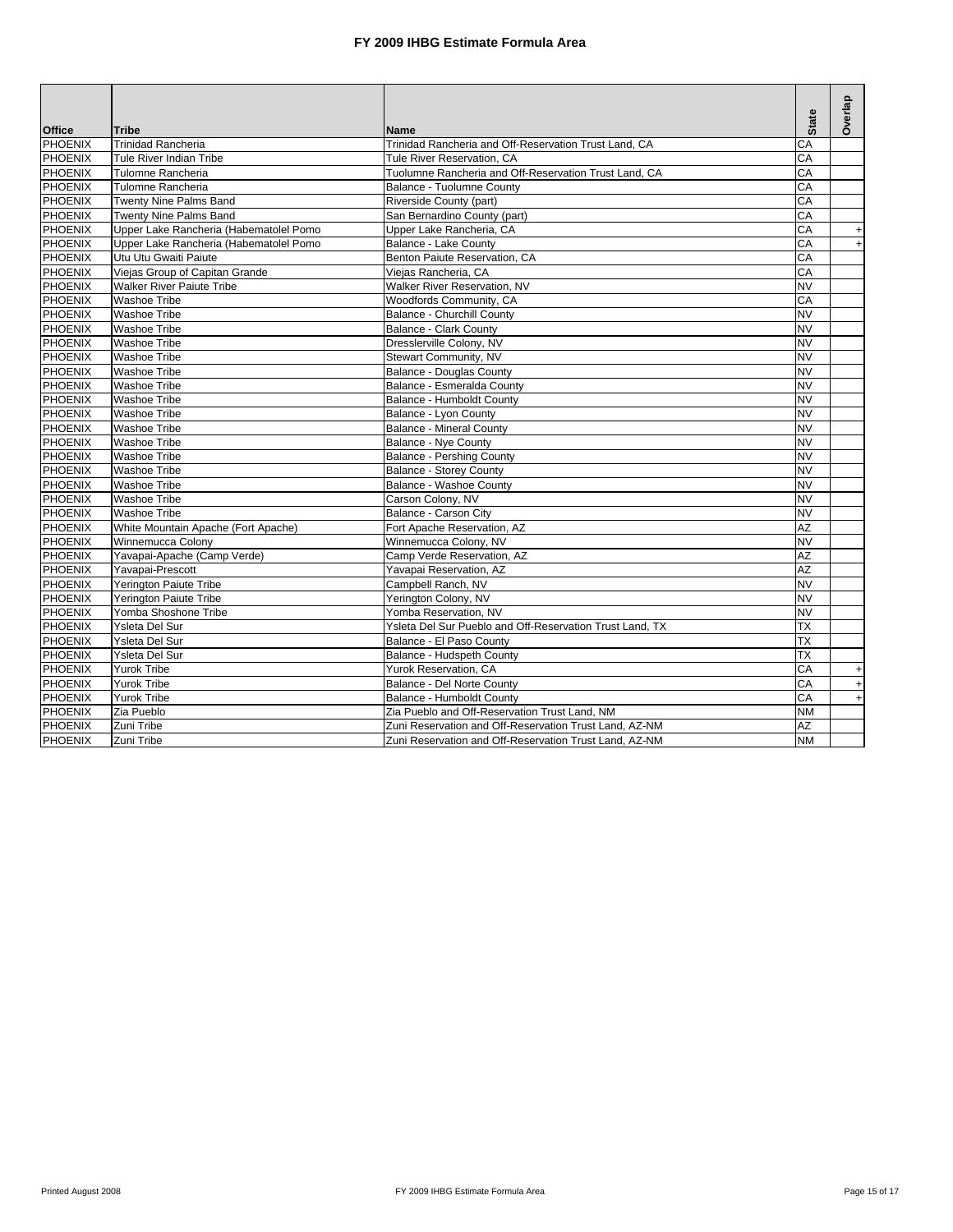|                |                                        |                                                          |              | Overlap                          |
|----------------|----------------------------------------|----------------------------------------------------------|--------------|----------------------------------|
| <b>Office</b>  | <b>Tribe</b>                           | <b>Name</b>                                              | <b>State</b> |                                  |
| PHOENIX        | <b>Trinidad Rancheria</b>              | Trinidad Rancheria and Off-Reservation Trust Land, CA    | CA           |                                  |
| <b>PHOENIX</b> | Tule River Indian Tribe                | Tule River Reservation, CA                               | CA           |                                  |
| <b>PHOENIX</b> | Tulomne Rancheria                      | Tuolumne Rancheria and Off-Reservation Trust Land, CA    | CA           |                                  |
| <b>PHOENIX</b> | Tulomne Rancheria                      | Balance - Tuolumne County                                | СA           |                                  |
| <b>PHOENIX</b> | Twenty Nine Palms Band                 | Riverside County (part)                                  | CA           |                                  |
| <b>PHOENIX</b> | <b>Twenty Nine Palms Band</b>          | San Bernardino County (part)                             | CA           |                                  |
| <b>PHOENIX</b> | Upper Lake Rancheria (Habematolel Pomo | Upper Lake Rancheria, CA                                 | CA           | $\ddot{}$                        |
| <b>PHOENIX</b> | Upper Lake Rancheria (Habematolel Pomo | Balance - Lake County                                    | СA           | $\ddot{}$                        |
| <b>PHOENIX</b> | Utu Utu Gwaiti Paiute                  | Benton Paiute Reservation, CA                            | СA           |                                  |
| PHOENIX        | Viejas Group of Capitan Grande         | Viejas Rancheria, CA                                     | СA           |                                  |
| PHOENIX        | <b>Walker River Paiute Tribe</b>       | Walker River Reservation, NV                             | <b>NV</b>    |                                  |
| <b>PHOENIX</b> | <b>Washoe Tribe</b>                    | Woodfords Community, CA                                  | CA           |                                  |
| PHOENIX        | Washoe Tribe                           | Balance - Churchill County                               | NV           |                                  |
| <b>PHOENIX</b> | <b>Washoe Tribe</b>                    | <b>Balance - Clark County</b>                            | <b>NV</b>    |                                  |
| PHOENIX        | <b>Washoe Tribe</b>                    | Dresslerville Colony, NV                                 | <b>NV</b>    |                                  |
| <b>PHOENIX</b> | <b>Washoe Tribe</b>                    | Stewart Community, NV                                    | <b>NV</b>    |                                  |
| <b>PHOENIX</b> | <b>Washoe Tribe</b>                    | <b>Balance - Douglas County</b>                          | <b>NV</b>    |                                  |
| <b>PHOENIX</b> | Washoe Tribe                           | Balance - Esmeralda County                               | NV           |                                  |
| <b>PHOENIX</b> | <b>Washoe Tribe</b>                    | Balance - Humboldt County                                | <b>NV</b>    |                                  |
| <b>PHOENIX</b> | <b>Washoe Tribe</b>                    | Balance - Lyon County                                    | <b>NV</b>    |                                  |
| <b>PHOENIX</b> | <b>Washoe Tribe</b>                    | <b>Balance - Mineral County</b>                          | <b>NV</b>    |                                  |
| <b>PHOENIX</b> | Washoe Tribe                           | Balance - Nye County                                     | <b>NV</b>    |                                  |
| <b>PHOENIX</b> | Washoe Tribe                           | <b>Balance - Pershing County</b>                         | NV           |                                  |
| <b>PHOENIX</b> | <b>Washoe Tribe</b>                    | <b>Balance - Storey County</b>                           | <b>NV</b>    |                                  |
| <b>PHOENIX</b> | <b>Washoe Tribe</b>                    | Balance - Washoe County                                  | <b>NV</b>    |                                  |
| <b>PHOENIX</b> | <b>Washoe Tribe</b>                    | Carson Colony, NV                                        | <b>NV</b>    |                                  |
| PHOENIX        | <b>Washoe Tribe</b>                    | Balance - Carson City                                    | NV           |                                  |
| <b>PHOENIX</b> | White Mountain Apache (Fort Apache)    | Fort Apache Reservation, AZ                              | AZ           |                                  |
| <b>PHOENIX</b> | Winnemucca Colony                      | Winnemucca Colony, NV                                    | <b>NV</b>    |                                  |
| <b>PHOENIX</b> | Yavapai-Apache (Camp Verde)            | Camp Verde Reservation, AZ                               | AZ           |                                  |
| <b>PHOENIX</b> | Yavapai-Prescott                       | Yavapai Reservation, AZ                                  | AZ           |                                  |
| <b>PHOENIX</b> | Yerington Paiute Tribe                 | Campbell Ranch, NV                                       | <b>NV</b>    |                                  |
| <b>PHOENIX</b> | <b>Yerington Paiute Tribe</b>          | Yerington Colony, NV                                     | <b>NV</b>    |                                  |
| PHOENIX        | Yomba Shoshone Tribe                   | Yomba Reservation, NV                                    | <b>NV</b>    |                                  |
| <b>PHOENIX</b> | Ysleta Del Sur                         | Ysleta Del Sur Pueblo and Off-Reservation Trust Land, TX | ТX           |                                  |
| PHOENIX        | Ysleta Del Sur                         | Balance - El Paso County                                 | ТX           |                                  |
| <b>PHOENIX</b> | Ysleta Del Sur                         | Balance - Hudspeth County                                | ТX           |                                  |
| PHOENIX        | <b>Yurok Tribe</b>                     | Yurok Reservation, CA                                    | CA           | $\begin{array}{c} + \end{array}$ |
| <b>PHOENIX</b> | <b>Yurok Tribe</b>                     | Balance - Del Norte County                               | CA           | $\begin{array}{c} + \end{array}$ |
| <b>PHOENIX</b> | <b>Yurok Tribe</b>                     | Balance - Humboldt County                                | CA           | $\begin{array}{c} + \end{array}$ |
| <b>PHOENIX</b> | Zia Pueblo                             | Zia Pueblo and Off-Reservation Trust Land. NM            | <b>NM</b>    |                                  |
| <b>PHOENIX</b> | Zuni Tribe                             | Zuni Reservation and Off-Reservation Trust Land, AZ-NM   | AZ           |                                  |
| <b>PHOENIX</b> | Zuni Tribe                             | Zuni Reservation and Off-Reservation Trust Land, AZ-NM   | <b>NM</b>    |                                  |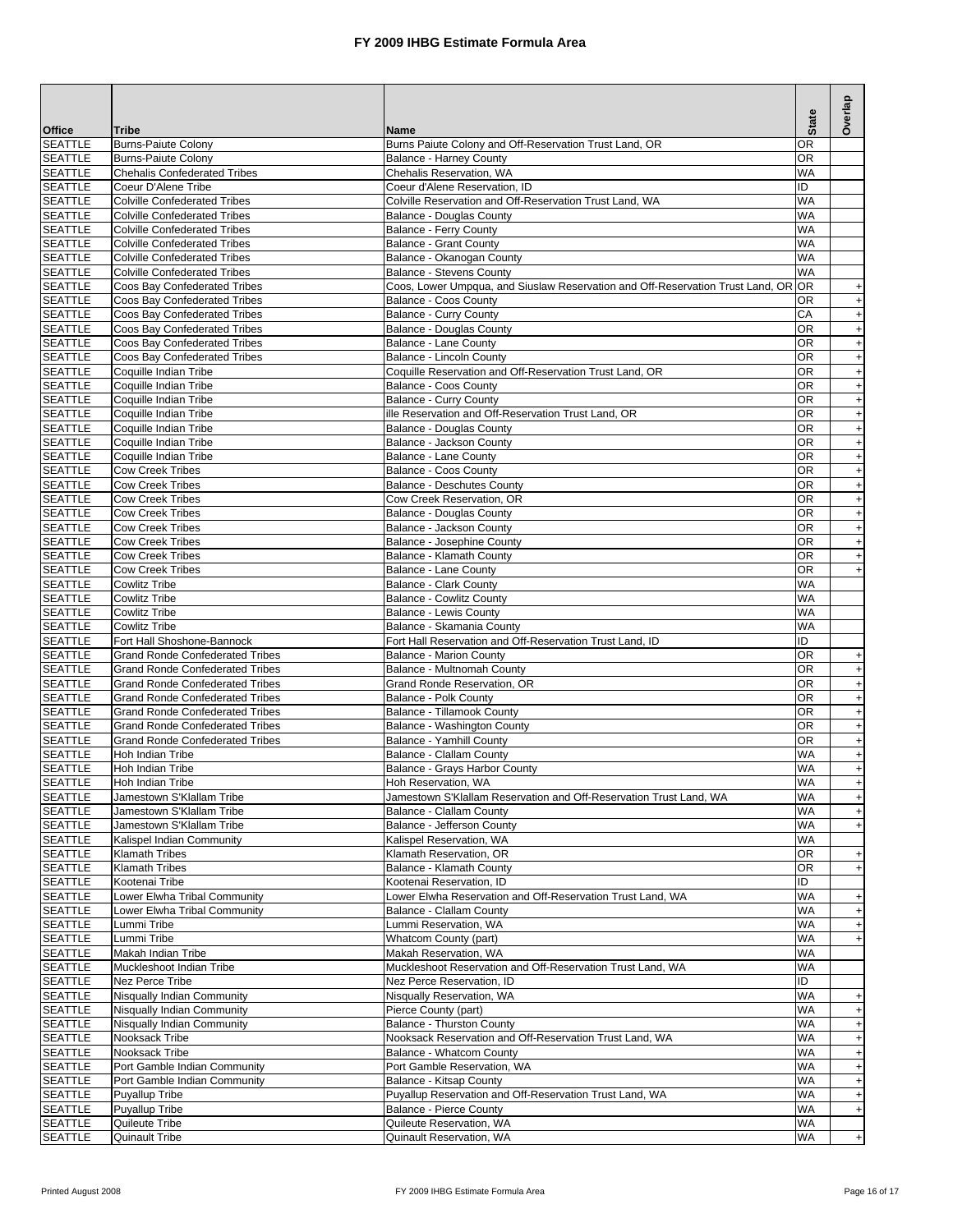| <b>Office</b>                    | <b>Tribe</b>                                                                     | <b>Name</b>                                                                              | <b>State</b>           | Overlap                                                              |
|----------------------------------|----------------------------------------------------------------------------------|------------------------------------------------------------------------------------------|------------------------|----------------------------------------------------------------------|
| <b>SEATTLE</b>                   | <b>Burns-Paiute Colony</b>                                                       | Burns Paiute Colony and Off-Reservation Trust Land, OR                                   | 0R                     |                                                                      |
| <b>SEATTLE</b>                   | <b>Burns-Paiute Colony</b>                                                       | <b>Balance - Harney County</b>                                                           | <b>OR</b>              |                                                                      |
| <b>SEATTLE</b>                   | <b>Chehalis Confederated Tribes</b>                                              | Chehalis Reservation, WA                                                                 | <b>WA</b><br>ID        |                                                                      |
| <b>SEATTLE</b><br><b>SEATTLE</b> | Coeur D'Alene Tribe<br><b>Colville Confederated Tribes</b>                       | Coeur d'Alene Reservation, ID<br>Colville Reservation and Off-Reservation Trust Land, WA | <b>WA</b>              |                                                                      |
| <b>SEATTLE</b>                   | <b>Colville Confederated Tribes</b>                                              | Balance - Douglas County                                                                 | <b>WA</b>              |                                                                      |
| <b>SEATTLE</b>                   | <b>Colville Confederated Tribes</b>                                              | Balance - Ferry County                                                                   | <b>WA</b>              |                                                                      |
| <b>SEATTLE</b>                   | <b>Colville Confederated Tribes</b>                                              | <b>Balance - Grant County</b>                                                            | <b>WA</b>              |                                                                      |
| <b>SEATTLE</b><br><b>SEATTLE</b> | <b>Colville Confederated Tribes</b><br><b>Colville Confederated Tribes</b>       | Balance - Okanogan County<br>Balance - Stevens County                                    | WA<br>WA               |                                                                      |
| <b>SEATTLE</b>                   | Coos Bay Confederated Tribes                                                     | Coos, Lower Umpqua, and Siuslaw Reservation and Off-Reservation Trust Land, OR OR        |                        | $\ddot{}$                                                            |
| <b>SEATTLE</b>                   | Coos Bay Confederated Tribes                                                     | Balance - Coos County                                                                    | OR                     | $\begin{array}{c} + \end{array}$                                     |
| <b>SEATTLE</b>                   | Coos Bay Confederated Tribes                                                     | Balance - Curry County                                                                   | CA                     | $+$                                                                  |
| <b>SEATTLE</b>                   | Coos Bay Confederated Tribes                                                     | <b>Balance - Douglas County</b>                                                          | OR                     | $\qquad \qquad +$                                                    |
| <b>SEATTLE</b><br><b>SEATTLE</b> | Coos Bay Confederated Tribes<br>Coos Bay Confederated Tribes                     | Balance - Lane County<br>Balance - Lincoln County                                        | 0R<br>0R               | $\boldsymbol{+}$<br>$\boldsymbol{+}$                                 |
| <b>SEATTLE</b>                   | Coquille Indian Tribe                                                            | Coquille Reservation and Off-Reservation Trust Land, OR                                  | <b>OR</b>              | $\ddot{}$                                                            |
| <b>SEATTLE</b>                   | Coquille Indian Tribe                                                            | Balance - Coos County                                                                    | 0R                     | $\ddot{}$                                                            |
| <b>SEATTLE</b>                   | Coquille Indian Tribe                                                            | Balance - Curry County                                                                   | 0R                     | $\ddot{}$                                                            |
| <b>SEATTLE</b>                   | Coquille Indian Tribe                                                            | ille Reservation and Off-Reservation Trust Land, OR                                      | 0R                     | $\ddot{}$                                                            |
| <b>SEATTLE</b><br><b>SEATTLE</b> | Coquille Indian Tribe<br>Coquille Indian Tribe                                   | Balance - Douglas County<br>Balance - Jackson County                                     | OR<br>0R               | $\ddot{}$<br>$\ddot{}$                                               |
| <b>SEATTLE</b>                   | Coquille Indian Tribe                                                            | Balance - Lane County                                                                    | 0R                     | $\qquad \qquad +$                                                    |
| <b>SEATTLE</b>                   | <b>Cow Creek Tribes</b>                                                          | Balance - Coos County                                                                    | <b>OR</b>              | $\ddot{}$                                                            |
| <b>SEATTLE</b>                   | <b>Cow Creek Tribes</b>                                                          | Balance - Deschutes County                                                               | <b>OR</b>              | $\ddot{}$                                                            |
| <b>SEATTLE</b>                   | <b>Cow Creek Tribes</b>                                                          | Cow Creek Reservation, OR                                                                | <b>OR</b>              | $\ddot{}$                                                            |
| <b>SEATTLE</b><br><b>SEATTLE</b> | <b>Cow Creek Tribes</b><br><b>Cow Creek Tribes</b>                               | <b>Balance - Douglas County</b><br>Balance - Jackson County                              | OR<br><b>OR</b>        | $\ddot{}$                                                            |
| <b>SEATTLE</b>                   | <b>Cow Creek Tribes</b>                                                          | Balance - Josephine County                                                               | <b>OR</b>              | $\ddot{}$<br>$\begin{array}{c} + \end{array}$                        |
| <b>SEATTLE</b>                   | <b>Cow Creek Tribes</b>                                                          | Balance - Klamath County                                                                 | <b>OR</b>              | $+$                                                                  |
| <b>SEATTLE</b>                   | <b>Cow Creek Tribes</b>                                                          | Balance - Lane County                                                                    | <b>OR</b>              | $\begin{array}{c} + \end{array}$                                     |
| <b>SEATTLE</b>                   | <b>Cowlitz Tribe</b>                                                             | Balance - Clark County                                                                   | <b>WA</b>              |                                                                      |
| <b>SEATTLE</b><br><b>SEATTLE</b> | <b>Cowlitz Tribe</b><br><b>Cowlitz Tribe</b>                                     | <b>Balance - Cowlitz County</b><br>Balance - Lewis County                                | <b>WA</b><br>WA        |                                                                      |
| <b>SEATTLE</b>                   | <b>Cowlitz Tribe</b>                                                             | Balance - Skamania County                                                                | <b>WA</b>              |                                                                      |
| <b>SEATTLE</b>                   | Fort Hall Shoshone-Bannock                                                       | Fort Hall Reservation and Off-Reservation Trust Land, ID                                 | ID                     |                                                                      |
| <b>SEATTLE</b>                   | <b>Grand Ronde Confederated Tribes</b>                                           | <b>Balance - Marion County</b>                                                           | OR                     | $\ddot{}$                                                            |
| <b>SEATTLE</b>                   | <b>Grand Ronde Confederated Tribes</b>                                           | Balance - Multnomah County                                                               | OR                     | $+$                                                                  |
| <b>SEATTLE</b><br><b>SEATTLE</b> | <b>Grand Ronde Confederated Tribes</b><br><b>Grand Ronde Confederated Tribes</b> | Grand Ronde Reservation, OR<br>Balance - Polk County                                     | OR<br>0R               | $\boldsymbol{+}$<br>$\boldsymbol{+}$                                 |
| <b>SEATTLE</b>                   | <b>Grand Ronde Confederated Tribes</b>                                           | Balance - Tillamook County                                                               | OR                     | $\boldsymbol{+}$                                                     |
| <b>SEATTLE</b>                   | <b>Grand Ronde Confederated Tribes</b>                                           | Balance - Washington County                                                              | 0R                     | $\bf{+}$                                                             |
| <b>SEATTLE</b>                   | <b>Grand Ronde Confederated Tribes</b>                                           | Balance - Yamhill County                                                                 | 0R                     | $\ddot{}$                                                            |
| <b>SEATTLE</b><br><b>SEATTLE</b> | <b>Hoh Indian Tribe</b>                                                          | <b>Balance - Clallam County</b>                                                          | <b>WA</b><br><b>WA</b> | $\ddot{}$                                                            |
| <b>SEATTLE</b>                   | Hoh Indian Tribe<br>Hoh Indian Tribe                                             | Balance - Grays Harbor County<br>Hoh Reservation, WA                                     | <b>WA</b>              | $\ddot{}$<br>$\ddot{+}$                                              |
| <b>SEATTLE</b>                   | Jamestown S'Klallam Tribe                                                        | Jamestown S'Klallam Reservation and Off-Reservation Trust Land, WA                       | WA                     | $+$                                                                  |
| <b>SEATTLE</b>                   | Jamestown S'Klallam Tribe                                                        | Balance - Clallam County                                                                 | WA                     | $\ddot{}$                                                            |
| <b>SEATTLE</b>                   | Jamestown S'Klallam Tribe                                                        | Balance - Jefferson County                                                               | WA                     | $\begin{array}{c} + \end{array}$                                     |
| <b>SEATTLE</b>                   | Kalispel Indian Community                                                        | Kalispel Reservation, WA<br>Klamath Reservation, OR                                      | WA<br><b>OR</b>        |                                                                      |
| <b>SEATTLE</b><br><b>SEATTLE</b> | <b>Klamath Tribes</b><br><b>Klamath Tribes</b>                                   | Balance - Klamath County                                                                 | OR                     | $\ddot{}$<br>$\ddot{}$                                               |
| <b>SEATTLE</b>                   | Kootenai Tribe                                                                   | Kootenai Reservation. ID                                                                 | ID                     |                                                                      |
| <b>SEATTLE</b>                   | Lower Elwha Tribal Community                                                     | Lower Elwha Reservation and Off-Reservation Trust Land, WA                               | WA                     | $\ddot{}$                                                            |
| <b>SEATTLE</b>                   | Lower Elwha Tribal Community                                                     | Balance - Clallam County                                                                 | WA                     | $+$                                                                  |
| <b>SEATTLE</b><br><b>SEATTLE</b> | Lummi Tribe<br>Lummi Tribe                                                       | Lummi Reservation, WA<br>Whatcom County (part)                                           | <b>WA</b><br><b>WA</b> | $+$                                                                  |
| <b>SEATTLE</b>                   | Makah Indian Tribe                                                               | Makah Reservation, WA                                                                    | WA                     | $+$                                                                  |
| <b>SEATTLE</b>                   | Muckleshoot Indian Tribe                                                         | Muckleshoot Reservation and Off-Reservation Trust Land, WA                               | <b>WA</b>              |                                                                      |
| <b>SEATTLE</b>                   | Nez Perce Tribe                                                                  | Nez Perce Reservation, ID                                                                | ID                     |                                                                      |
| <b>SEATTLE</b>                   | Nisqually Indian Community                                                       | Nisqually Reservation, WA                                                                | <b>WA</b>              | +                                                                    |
| <b>SEATTLE</b>                   | Nisqually Indian Community                                                       | Pierce County (part)<br>Balance - Thurston County                                        | <b>WA</b><br>WA        | $+$                                                                  |
| <b>SEATTLE</b><br><b>SEATTLE</b> | Nisqually Indian Community<br>Nooksack Tribe                                     | Nooksack Reservation and Off-Reservation Trust Land, WA                                  | WA                     | $\begin{array}{c} + \end{array}$<br>$\begin{array}{c} + \end{array}$ |
| <b>SEATTLE</b>                   | Nooksack Tribe                                                                   | Balance - Whatcom County                                                                 | WA                     | $\begin{array}{c} + \end{array}$                                     |
| <b>SEATTLE</b>                   | Port Gamble Indian Community                                                     | Port Gamble Reservation, WA                                                              | WA                     | $\begin{array}{c} + \end{array}$                                     |
| <b>SEATTLE</b>                   | Port Gamble Indian Community                                                     | Balance - Kitsap County                                                                  | WA                     | $+$                                                                  |
| <b>SEATTLE</b><br><b>SEATTLE</b> | <b>Puyallup Tribe</b><br><b>Puyallup Tribe</b>                                   | Puyallup Reservation and Off-Reservation Trust Land, WA<br>Balance - Pierce County       | <b>WA</b><br><b>WA</b> | $\pmb{+}$<br>$\begin{array}{c} + \end{array}$                        |
| <b>SEATTLE</b>                   | Quileute Tribe                                                                   | Quileute Reservation, WA                                                                 | WA                     |                                                                      |
| <b>SEATTLE</b>                   | <b>Quinault Tribe</b>                                                            | Quinault Reservation, WA                                                                 | WA                     | $+$                                                                  |